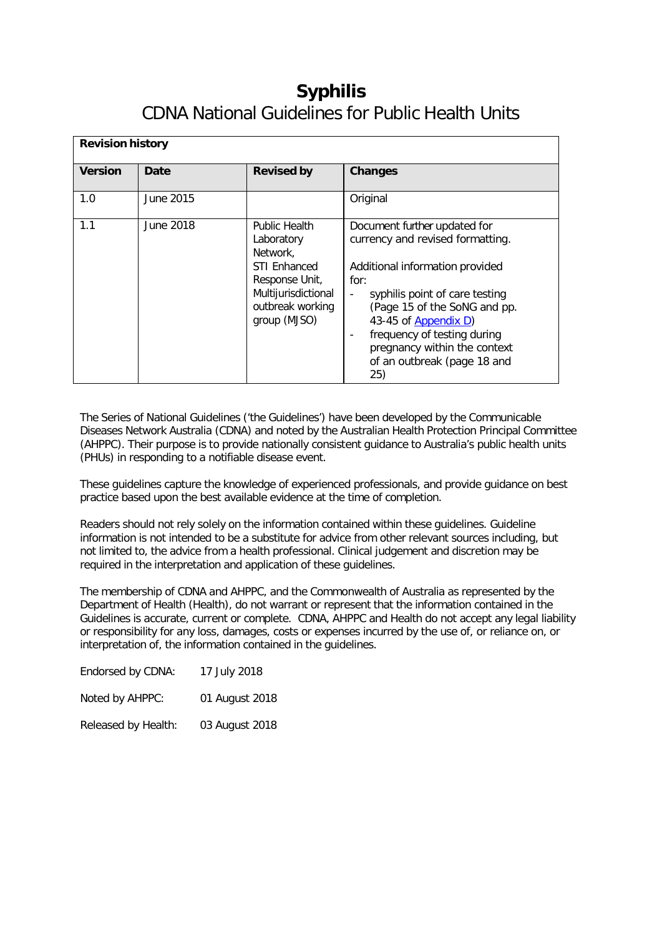# **Syphilis** CDNA National Guidelines for Public Health Units

| <b>Revision history</b> |           |                                                                                                                                                    |                                                                                                                                                                                                                                                                                                            |  |  |
|-------------------------|-----------|----------------------------------------------------------------------------------------------------------------------------------------------------|------------------------------------------------------------------------------------------------------------------------------------------------------------------------------------------------------------------------------------------------------------------------------------------------------------|--|--|
| <b>Version</b>          | Date      | <b>Revised by</b>                                                                                                                                  | <b>Changes</b>                                                                                                                                                                                                                                                                                             |  |  |
| 1.0                     | June 2015 |                                                                                                                                                    | Original                                                                                                                                                                                                                                                                                                   |  |  |
| 1.1                     | June 2018 | <b>Public Health</b><br>Laboratory<br>Network.<br><b>STI Enhanced</b><br>Response Unit,<br>Multijurisdictional<br>outbreak working<br>group (MJSO) | Document further updated for<br>currency and revised formatting.<br>Additional information provided<br>for:<br>syphilis point of care testing<br>(Page 15 of the SoNG and pp.<br>43-45 of Appendix D)<br>frequency of testing during<br>pregnancy within the context<br>of an outbreak (page 18 and<br>25) |  |  |

<span id="page-0-0"></span>The Series of National Guidelines ('the Guidelines') have been developed by the Communicable Diseases Network Australia (CDNA) and noted by the Australian Health Protection Principal Committee (AHPPC). Their purpose is to provide nationally consistent guidance to Australia's public health units (PHUs) in responding to a notifiable disease event.

These guidelines capture the knowledge of experienced professionals, and provide guidance on best practice based upon the best available evidence at the time of completion.

Readers should not rely solely on the information contained within these guidelines. Guideline information is not intended to be a substitute for advice from other relevant sources including, but not limited to, the advice from a health professional. Clinical judgement and discretion may be required in the interpretation and application of these guidelines.

The membership of CDNA and AHPPC, and the Commonwealth of Australia as represented by the Department of Health (Health), do not warrant or represent that the information contained in the Guidelines is accurate, current or complete. CDNA, AHPPC and Health do not accept any legal liability or responsibility for any loss, damages, costs or expenses incurred by the use of, or reliance on, or interpretation of, the information contained in the guidelines.

| Endorsed by CDNA: | 17 July 2018 |
|-------------------|--------------|
|-------------------|--------------|

Noted by AHPPC: 01 August 2018

Released by Health: 03 August 2018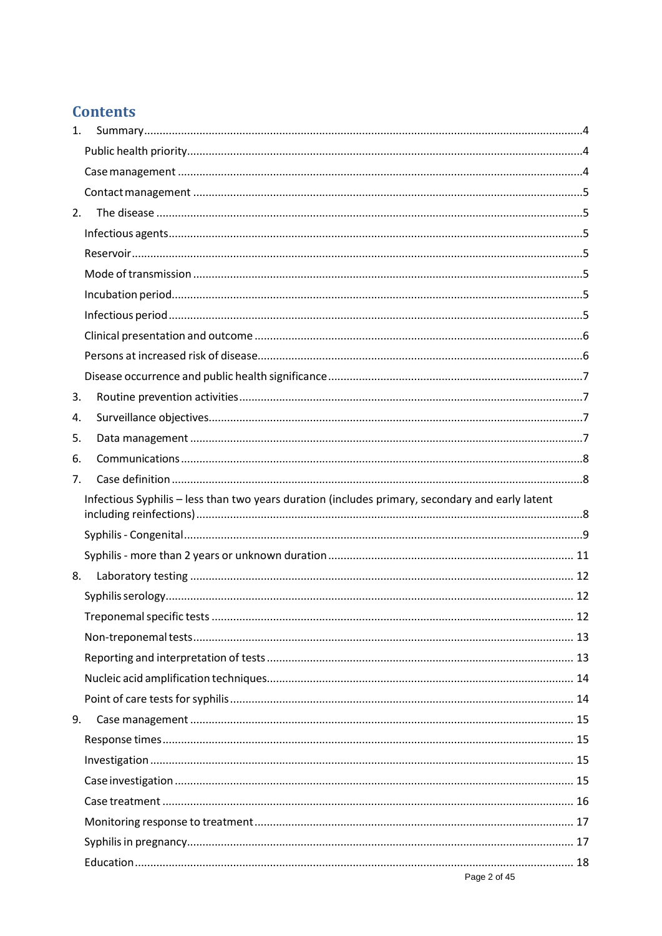# **Contents**

| 1. |                                                                                                  |  |
|----|--------------------------------------------------------------------------------------------------|--|
|    |                                                                                                  |  |
|    |                                                                                                  |  |
|    |                                                                                                  |  |
| 2. |                                                                                                  |  |
|    |                                                                                                  |  |
|    |                                                                                                  |  |
|    |                                                                                                  |  |
|    |                                                                                                  |  |
|    |                                                                                                  |  |
|    |                                                                                                  |  |
|    |                                                                                                  |  |
|    |                                                                                                  |  |
| 3. |                                                                                                  |  |
| 4. |                                                                                                  |  |
| 5. |                                                                                                  |  |
| 6. |                                                                                                  |  |
| 7. |                                                                                                  |  |
|    | Infectious Syphilis - less than two years duration (includes primary, secondary and early latent |  |
|    |                                                                                                  |  |
|    |                                                                                                  |  |
| 8. |                                                                                                  |  |
|    |                                                                                                  |  |
|    |                                                                                                  |  |
|    |                                                                                                  |  |
|    |                                                                                                  |  |
|    |                                                                                                  |  |
|    |                                                                                                  |  |
| 9. |                                                                                                  |  |
|    |                                                                                                  |  |
|    |                                                                                                  |  |
|    |                                                                                                  |  |
|    |                                                                                                  |  |
|    |                                                                                                  |  |
|    |                                                                                                  |  |
|    |                                                                                                  |  |
|    | Page 2 of 45                                                                                     |  |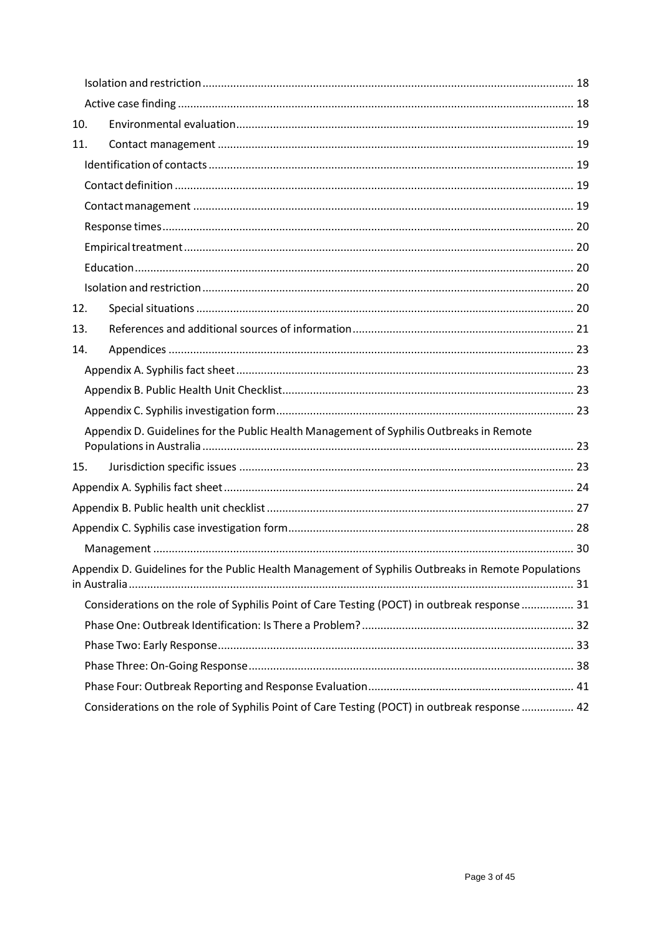| 10. |                                                                                                     |  |
|-----|-----------------------------------------------------------------------------------------------------|--|
| 11. |                                                                                                     |  |
|     |                                                                                                     |  |
|     |                                                                                                     |  |
|     |                                                                                                     |  |
|     |                                                                                                     |  |
|     |                                                                                                     |  |
|     |                                                                                                     |  |
|     |                                                                                                     |  |
| 12. |                                                                                                     |  |
| 13. |                                                                                                     |  |
| 14. |                                                                                                     |  |
|     |                                                                                                     |  |
|     |                                                                                                     |  |
|     |                                                                                                     |  |
|     | Appendix D. Guidelines for the Public Health Management of Syphilis Outbreaks in Remote             |  |
| 15. |                                                                                                     |  |
|     |                                                                                                     |  |
|     |                                                                                                     |  |
|     |                                                                                                     |  |
|     |                                                                                                     |  |
|     | Appendix D. Guidelines for the Public Health Management of Syphilis Outbreaks in Remote Populations |  |
|     | Considerations on the role of Syphilis Point of Care Testing (POCT) in outbreak response  31        |  |
|     |                                                                                                     |  |
|     |                                                                                                     |  |
|     |                                                                                                     |  |
|     |                                                                                                     |  |
|     | Considerations on the role of Syphilis Point of Care Testing (POCT) in outbreak response  42        |  |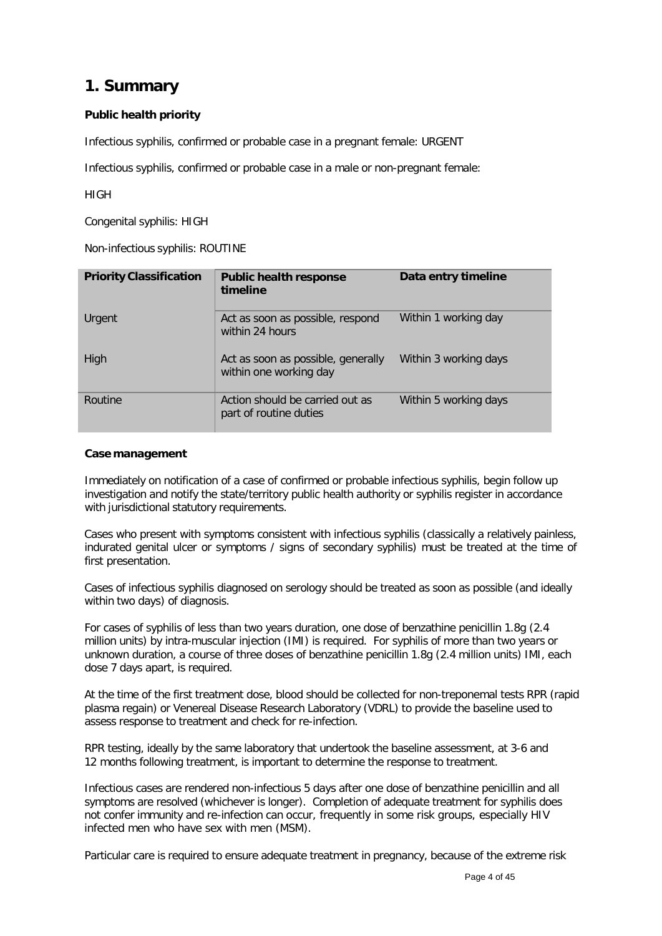# <span id="page-3-0"></span>**1. Summary**

### <span id="page-3-1"></span>**Public health priority**

Infectious syphilis, confirmed or probable case in a pregnant female: URGENT

Infectious syphilis, confirmed or probable case in a male or non-pregnant female:

#### HIGH

Congenital syphilis: HIGH

Non-infectious syphilis: ROUTINE

| <b>Priority Classification</b> | <b>Public health response</b><br>timeline                    | Data entry timeline   |  |
|--------------------------------|--------------------------------------------------------------|-----------------------|--|
| Urgent                         | Act as soon as possible, respond<br>within 24 hours          | Within 1 working day  |  |
| High                           | Act as soon as possible, generally<br>within one working day | Within 3 working days |  |
| Routine                        | Action should be carried out as<br>part of routine duties    | Within 5 working days |  |

#### <span id="page-3-2"></span>**Case management**

Immediately on notification of a case of confirmed or probable infectious syphilis, begin follow up investigation and notify the state/territory public health authority or syphilis register in accordance with jurisdictional statutory requirements.

Cases who present with symptoms consistent with infectious syphilis (classically a relatively painless, indurated genital ulcer or symptoms / signs of secondary syphilis) must be treated at the time of first presentation.

Cases of infectious syphilis diagnosed on serology should be treated as soon as possible (and ideally within two days) of diagnosis.

For cases of syphilis of less than two years duration, one dose of benzathine penicillin 1.8g (2.4 million units) by intra-muscular injection (IMI) is required. For syphilis of more than two years or unknown duration, a course of three doses of benzathine penicillin 1.8g (2.4 million units) IMI, each dose 7 days apart, is required.

At the time of the first treatment dose, blood should be collected for non-treponemal tests RPR (rapid plasma regain) or Venereal Disease Research Laboratory (VDRL) to provide the baseline used to assess response to treatment and check for re-infection.

RPR testing, ideally by the same laboratory that undertook the baseline assessment, at 3-6 and 12 months following treatment, is important to determine the response to treatment.

Infectious cases are rendered non-infectious 5 days after one dose of benzathine penicillin and all symptoms are resolved (whichever is longer). Completion of adequate treatment for syphilis does not confer immunity and re-infection can occur, frequently in some risk groups, especially HIV infected men who have sex with men (MSM).

Particular care is required to ensure adequate treatment in pregnancy, because of the extreme risk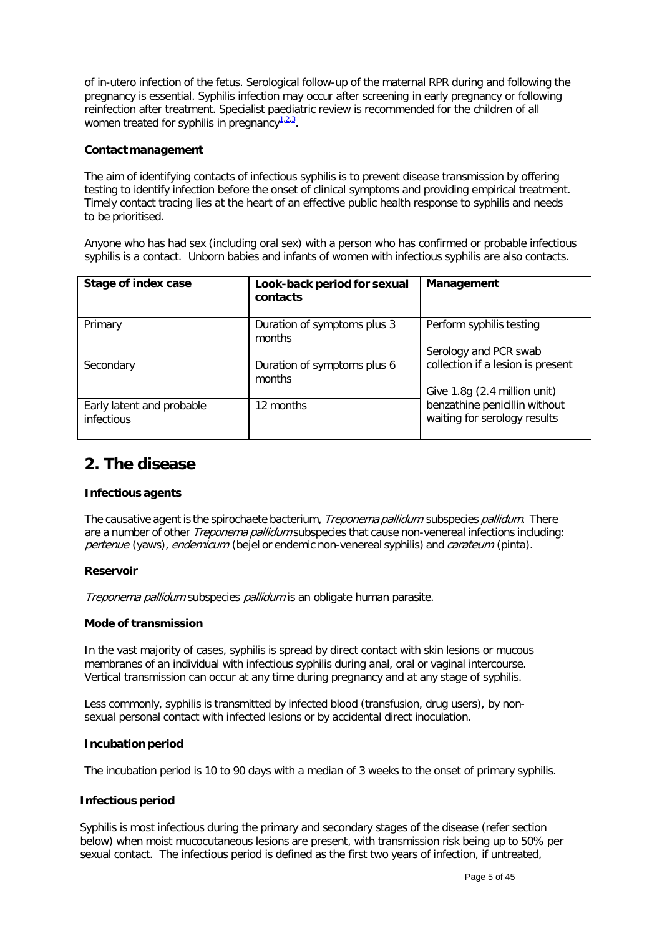of in-utero infection of the fetus. Serological follow-up of the maternal RPR during and following the pregnancy is essential. Syphilis infection may occur after screening in early pregnancy or following reinfection after treatment. Specialist paediatric review is recommended for the children of all women treated for syphilis in pregnancy<sup>[1,](#page-20-1)[2,](#page-20-2)[3](#page-20-3)</sup>.

#### <span id="page-4-0"></span>**Contact management**

The aim of identifying contacts of infectious syphilis is to prevent disease transmission by offering testing to identify infection before the onset of clinical symptoms and providing empirical treatment. Timely contact tracing lies at the heart of an effective public health response to syphilis and needs to be prioritised.

Anyone who has had sex (including oral sex) with a person who has confirmed or probable infectious syphilis is a contact. Unborn babies and infants of women with infectious syphilis are also contacts.

| Stage of index case                            | Look-back period for sexual<br>contacts | Management                                                    |
|------------------------------------------------|-----------------------------------------|---------------------------------------------------------------|
| Primary                                        | Duration of symptoms plus 3<br>months   | Perform syphilis testing                                      |
|                                                |                                         | Serology and PCR swab                                         |
| Secondary                                      | Duration of symptoms plus 6<br>months   | collection if a lesion is present                             |
|                                                |                                         | Give 1.8g (2.4 million unit)                                  |
| Early latent and probable<br><i>infectious</i> | 12 months                               | benzathine penicillin without<br>waiting for serology results |

# <span id="page-4-1"></span>**2. The disease**

#### <span id="page-4-2"></span>**Infectious agents**

The causative agent is the spirochaete bacterium, *Treponema pallidum* subspecies *pallidum*. There are a number of other *Treponema pallidum* subspecies that cause non-venereal infections including: pertenue (yaws), endemicum (bejel or endemic non-venereal syphilis) and carateum (pinta).

#### <span id="page-4-3"></span>**Reservoir**

Treponema pallidum subspecies pallidum is an obligate human parasite.

#### <span id="page-4-4"></span>**Mode of transmission**

In the vast majority of cases, syphilis is spread by direct contact with skin lesions or mucous membranes of an individual with infectious syphilis during anal, oral or vaginal intercourse. Vertical transmission can occur at any time during pregnancy and at any stage of syphilis.

Less commonly, syphilis is transmitted by infected blood (transfusion, drug users), by nonsexual personal contact with infected lesions or by accidental direct inoculation.

## <span id="page-4-5"></span>**Incubation period**

The incubation period is 10 to 90 days with a median of 3 weeks to the onset of primary syphilis.

#### <span id="page-4-6"></span>**Infectious period**

Syphilis is most infectious during the primary and secondary stages of the disease (refer section below) when moist mucocutaneous lesions are present, with transmission risk being up to 50% per sexual contact. The infectious period is defined as the first two years of infection, if untreated,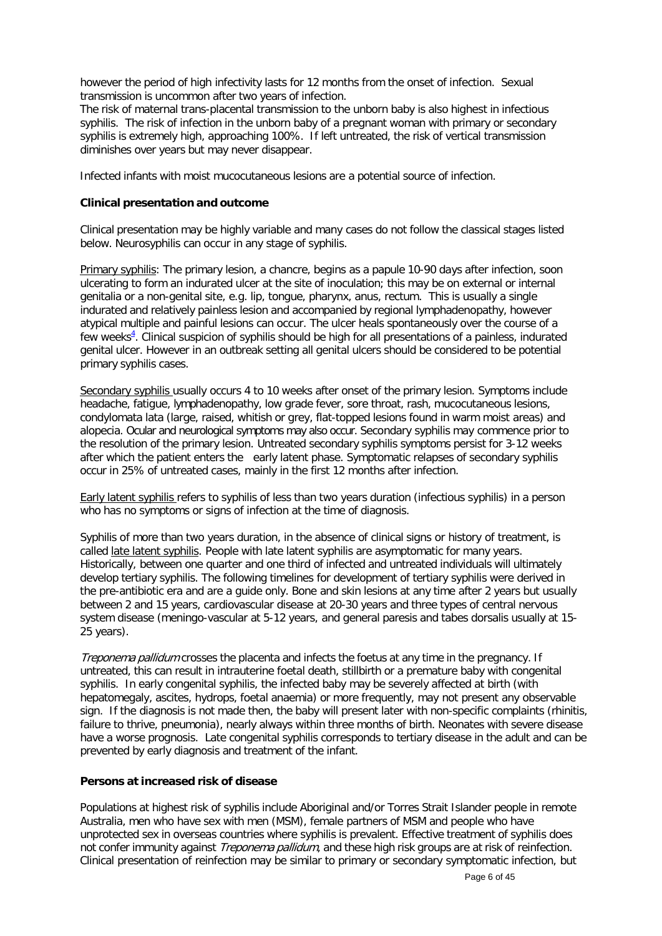however the period of high infectivity lasts for 12 months from the onset of infection. Sexual transmission is uncommon after two years of infection.

The risk of maternal trans-placental transmission to the unborn baby is also highest in infectious syphilis. The risk of infection in the unborn baby of a pregnant woman with primary or secondary syphilis is extremely high, approaching 100%. If left untreated, the risk of vertical transmission diminishes over years but may never disappear.

Infected infants with moist mucocutaneous lesions are a potential source of infection.

#### <span id="page-5-0"></span>**Clinical presentation and outcome**

Clinical presentation may be highly variable and many cases do not follow the classical stages listed below. Neurosyphilis can occur in any stage of syphilis.

Primary syphilis: The primary lesion, a chancre, begins as a papule 10-90 days after infection, soon ulcerating to form an indurated ulcer at the site of inoculation; this may be on external or internal genitalia or a non-genital site, e.g. lip, tongue, pharynx, anus, rectum. This is usually a single indurated and relatively painless lesion and accompanied by regional lymphadenopathy, however atypical multiple and painful lesions can occur. The ulcer heals spontaneously over the course of a few weeks<sup>4</sup>[.](#page-20-4) Clinical suspicion of syphilis should be high for all presentations of a painless, indurated genital ulcer. However in an outbreak setting all genital ulcers should be considered to be potential primary syphilis cases.

Secondary syphilis usually occurs 4 to 10 weeks after onset of the primary lesion. Symptoms include headache, fatigue, lymphadenopathy, low grade fever, sore throat, rash, mucocutaneous lesions, condylomata lata (large, raised, whitish or grey, flat-topped lesions found in warm moist areas) and alopecia. Ocular and neurological symptoms may also occur. Secondary syphilis may commence prior to the resolution of the primary lesion. Untreated secondary syphilis symptoms persist for 3-12 weeks after which the patient enters the early latent phase. Symptomatic relapses of secondary syphilis occur in 25% of untreated cases, mainly in the first 12 months after infection.

Early latent syphilis refers to syphilis of less than two years duration (infectious syphilis) in a person who has no symptoms or signs of infection at the time of diagnosis.

Syphilis of more than two years duration, in the absence of clinical signs or history of treatment, is called late latent syphilis. People with late latent syphilis are asymptomatic for many years. Historically, between one quarter and one third of infected and untreated individuals will ultimately develop tertiary syphilis. The following timelines for development of tertiary syphilis were derived in the pre-antibiotic era and are a guide only. Bone and skin lesions at any time after 2 years but usually between 2 and 15 years, cardiovascular disease at 20-30 years and three types of central nervous system disease (meningo-vascular at 5-12 years, and general paresis and tabes dorsalis usually at 15- 25 years).

Treponema pallidum crosses the placenta and infects the foetus at any time in the pregnancy. If untreated, this can result in intrauterine foetal death, stillbirth or a premature baby with congenital syphilis. In early congenital syphilis, the infected baby may be severely affected at birth (with hepatomegaly, ascites, hydrops, foetal anaemia) or more frequently, may not present any observable sign. If the diagnosis is not made then, the baby will present later with non-specific complaints (rhinitis, failure to thrive, pneumonia), nearly always within three months of birth. Neonates with severe disease have a worse prognosis. Late congenital syphilis corresponds to tertiary disease in the adult and can be prevented by early diagnosis and treatment of the infant.

#### <span id="page-5-1"></span>**Persons at increased risk of disease**

Populations at highest risk of syphilis include Aboriginal and/or Torres Strait Islander people in remote Australia, men who have sex with men (MSM), female partners of MSM and people who have unprotected sex in overseas countries where syphilis is prevalent. Effective treatment of syphilis does not confer immunity against *Treponema pallidum*, and these high risk groups are at risk of reinfection. Clinical presentation of reinfection may be similar to primary or secondary symptomatic infection, but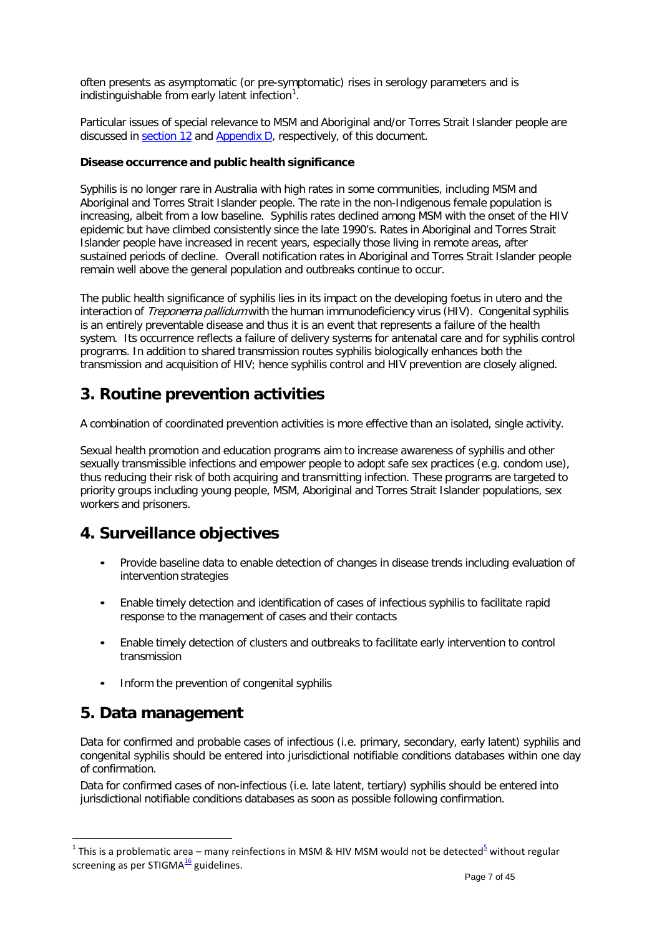often presents as asymptomatic (or pre-symptomatic) rises in serology parameters and is indistinguishable from early latent infection $1$ .

<span id="page-6-5"></span>Particular issues of special relevance to MSM and Aboriginal and/or Torres Strait Islander people are discussed in [section](#page-19-4) 12 and [Appendix](#page-30-0) D, respectively, of this document.

#### <span id="page-6-0"></span>**Disease occurrence and public health significance**

Syphilis is no longer rare in Australia with high rates in some communities, including MSM and Aboriginal and Torres Strait Islander people. The rate in the non-Indigenous female population is increasing, albeit from a low baseline. Syphilis rates declined among MSM with the onset of the HIV epidemic but have climbed consistently since the late 1990's. Rates in Aboriginal and Torres Strait Islander people have increased in recent years, especially those living in remote areas, after sustained periods of decline. Overall notification rates in Aboriginal and Torres Strait Islander people remain well above the general population and outbreaks continue to occur.

The public health significance of syphilis lies in its impact on the developing foetus in utero and the interaction of *Treponema pallidum* with the human immunodeficiency virus (HIV). Congenital syphilis is an entirely preventable disease and thus it is an event that represents a failure of the health system. Its occurrence reflects a failure of delivery systems for antenatal care and for syphilis control programs. In addition to shared transmission routes syphilis biologically enhances both the transmission and acquisition of HIV; hence syphilis control and HIV prevention are closely aligned.

# <span id="page-6-1"></span>**3. Routine prevention activities**

A combination of coordinated prevention activities is more effective than an isolated, single activity.

Sexual health promotion and education programs aim to increase awareness of syphilis and other sexually transmissible infections and empower people to adopt safe sex practices (e.g. condom use), thus reducing their risk of both acquiring and transmitting infection. These programs are targeted to priority groups including young people, MSM, Aboriginal and Torres Strait Islander populations, sex workers and prisoners.

# <span id="page-6-2"></span>**4. Surveillance objectives**

- Provide baseline data to enable detection of changes in disease trends including evaluation of intervention strategies
- Enable timely detection and identification of cases of infectious syphilis to facilitate rapid response to the management of cases and their contacts
- Enable timely detection of clusters and outbreaks to facilitate early intervention to control transmission
- Inform the prevention of congenital syphilis

# <span id="page-6-3"></span>**5. Data management**

Data for confirmed and probable cases of infectious (i.e. primary, secondary, early latent) syphilis and congenital syphilis should be entered into jurisdictional notifiable conditions databases within one day of confirmation.

Data for confirmed cases of non-infectious (i.e. late latent, tertiary) syphilis should be entered into jurisdictional notifiable conditions databases as soon as possible following confirmation.

<span id="page-6-4"></span><sup>&</sup>lt;sup>1</sup> This is a problematic area – many reinfections in MSM & HIV MSM woul[d](#page-20-5) not be detected<sup>5</sup> without regular screening as per STIGMA $\frac{16}{16}$  $\frac{16}{16}$  $\frac{16}{16}$  guidelines.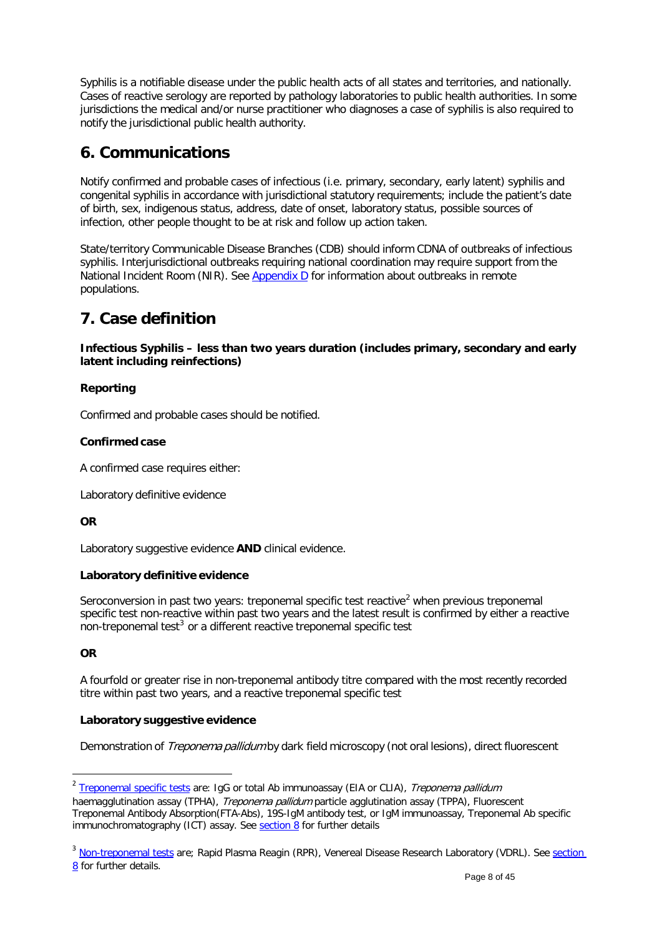Syphilis is a notifiable disease under the public health acts of all states and territories, and nationally. Cases of reactive serology are reported by pathology laboratories to public health authorities. In some jurisdictions the medical and/or nurse practitioner who diagnoses a case of syphilis is also required to notify the jurisdictional public health authority.

# <span id="page-7-0"></span>**6. Communications**

Notify confirmed and probable cases of infectious (i.e. primary, secondary, early latent) syphilis and congenital syphilis in accordance with jurisdictional statutory requirements; include the patient's date of birth, sex, indigenous status, address, date of onset, laboratory status, possible sources of infection, other people thought to be at risk and follow up action taken.

State/territory Communicable Disease Branches (CDB) should inform CDNA of outbreaks of infectious syphilis. Interjurisdictional outbreaks requiring national coordination may require support from the National Incident Room (NIR). See [Appendix](#page-30-0) D for information about outbreaks in remote populations.

# <span id="page-7-1"></span>**7. Case definition**

<span id="page-7-2"></span>**Infectious Syphilis – less than two years duration (includes primary, secondary and early latent including reinfections)**

# **Reporting**

Confirmed and probable cases should be notified.

## **Confirmed case**

A confirmed case requires either:

Laboratory definitive evidence

## **OR**

Laboratory suggestive evidence **AND** clinical evidence.

## **Laboratory definitive evidence**

Seroconversion in past two years: treponemal specific test reactive<sup>[2](#page-7-3)</sup> when previous treponemal specific test non-reactive within past two years and the latest result is confirmed by either a reactive non-treponemal test<sup>[3](#page-7-4)</sup> or a different reactive treponemal specific test

## **OR**

A fourfold or greater rise in non-treponemal antibody titre compared with the most recently recorded titre within past two years, and a reactive treponemal specific test

## **Laboratory suggestive evidence**

Demonstration of *Treponema pallidum* by dark field microscopy (not oral lesions), direct fluorescent

<span id="page-7-5"></span><span id="page-7-3"></span><sup>&</sup>lt;sup>2</sup> [Treponemal specific](#page-10-1) tests are: IgG or total Ab immunoassay (EIA or CLIA), Treponema pallidum

haemagglutination assay (TPHA), Treponema pallidum particle agglutination assay (TPPA), Fluorescent Treponemal Antibody Absorption(FTA-Abs), 19S-IgM antibody test, or IgM immunoassay, Treponemal Ab specific immunochromatography (ICT) assay. See [section 8](#page-11-0) for further details

<span id="page-7-6"></span><span id="page-7-4"></span><sup>&</sup>lt;sup>3</sup> [Non-treponemal](#page-10-2) tests are; Rapid Plasma Reagin (RPR), Venereal Disease Research Laboratory (VDRL). See section [8](#page-11-0) for further details.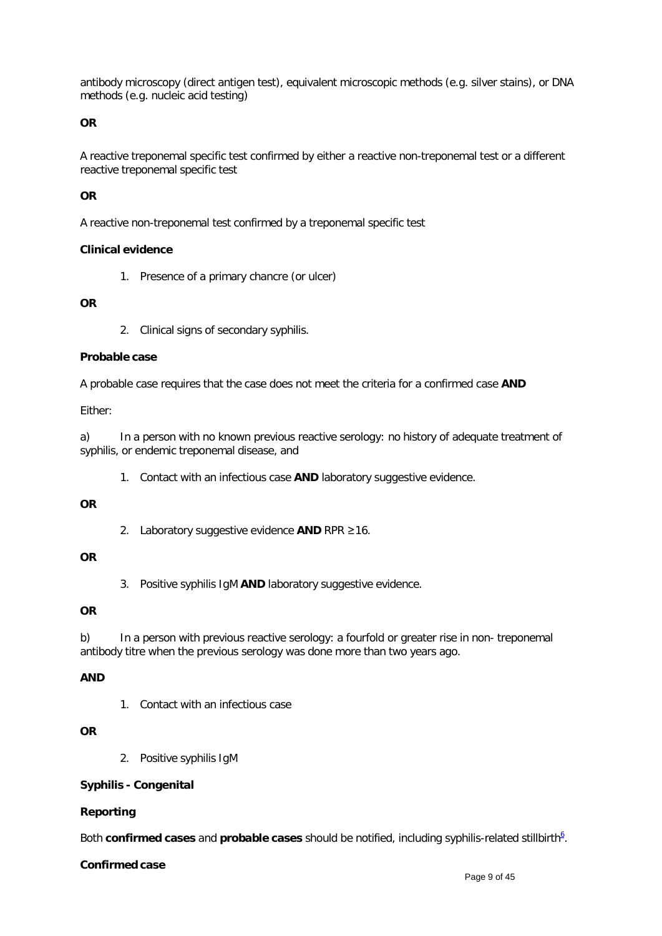antibody microscopy (direct antigen test), equivalent microscopic methods (e.g. silver stains), or DNA methods (e.g. nucleic acid testing)

#### **OR**

A reactive treponemal specific test confirmed by either a reactive non-treponemal test or a different reactive treponemal specific test

#### **OR**

A reactive non-treponemal test confirmed by a treponemal specific test

#### **Clinical evidence**

1. Presence of a primary chancre (or ulcer)

#### **OR**

2. Clinical signs of secondary syphilis.

#### **Probable case**

A probable case requires that the case does not meet the criteria for a confirmed case **AND**

# Either:

a) In a person with no known previous reactive serology: no history of adequate treatment of syphilis, or endemic treponemal disease, and

1. Contact with an infectious case **AND** laboratory suggestive evidence.

#### **OR**

2. Laboratory suggestive evidence **AND** RPR ≥16.

#### **OR**

3. Positive syphilis IgM **AND** laboratory suggestive evidence.

#### **OR**

b) In a person with previous reactive serology: a fourfold or greater rise in non- treponemal antibody titre when the previous serology was done more than two years ago.

#### **AND**

1. Contact with an infectious case

#### **OR**

2. Positive syphilis IgM

#### <span id="page-8-0"></span>**Syphilis - Congenital**

#### **Reporting**

Both **confirmed cases** and **probable cases** should be notified, including syphilis-related stillbirth<sup>6</sup>[.](#page-20-6)

#### **Confirmed case**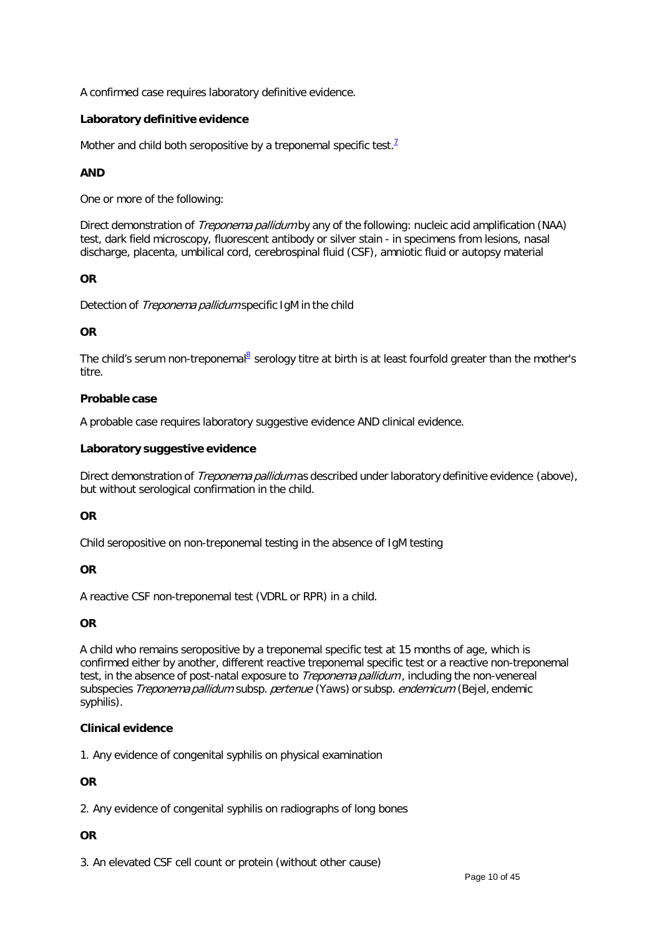A confirmed case requires laboratory definitive evidence.

#### **Laboratory definitive evidence**

Mother and child both seropositive by a treponemal specific test[.](#page-20-7)<sup>2</sup>

### **AND**

One or more of the following:

Direct demonstration of *Treponema pallidum* by any of the following: nucleic acid amplification (NAA) test, dark field microscopy, fluorescent antibody or silver stain - in specimens from lesions, nasal discharge, placenta, umbilical cord, cerebrospinal fluid (CSF), amniotic fluid or autopsy material

#### **OR**

Detection of *Treponema pallidum* specific IgM in the child

#### **OR**

The child's serum non-treponem[al](#page-20-8)<sup>8</sup> serology titre at birth is at least fourfold greater than the mother's titre.

#### **Probable case**

A probable case requires laboratory suggestive evidence AND clinical evidence.

#### **Laboratory suggestive evidence**

Direct demonstration of Treponema pallidum as described under laboratory definitive evidence (above), but without serological confirmation in the child.

#### **OR**

Child seropositive on non-treponemal testing in the absence of IgM testing

#### **OR**

A reactive CSF non-treponemal test (VDRL or RPR) in a child.

#### **OR**

A child who remains seropositive by a treponemal specific test at 15 months of age, which is confirmed either by another, different reactive treponemal specific test or a reactive non-treponemal test, in the absence of post-natal exposure to *Treponema pallidum*, including the non-venereal subspecies Treponema pallidum subsp. pertenue (Yaws) or subsp. endemicum (Bejel, endemic syphilis).

#### **Clinical evidence**

1. Any evidence of congenital syphilis on physical examination

## **OR**

2. Any evidence of congenital syphilis on radiographs of long bones

## **OR**

3. An elevated CSF cell count or protein (without other cause)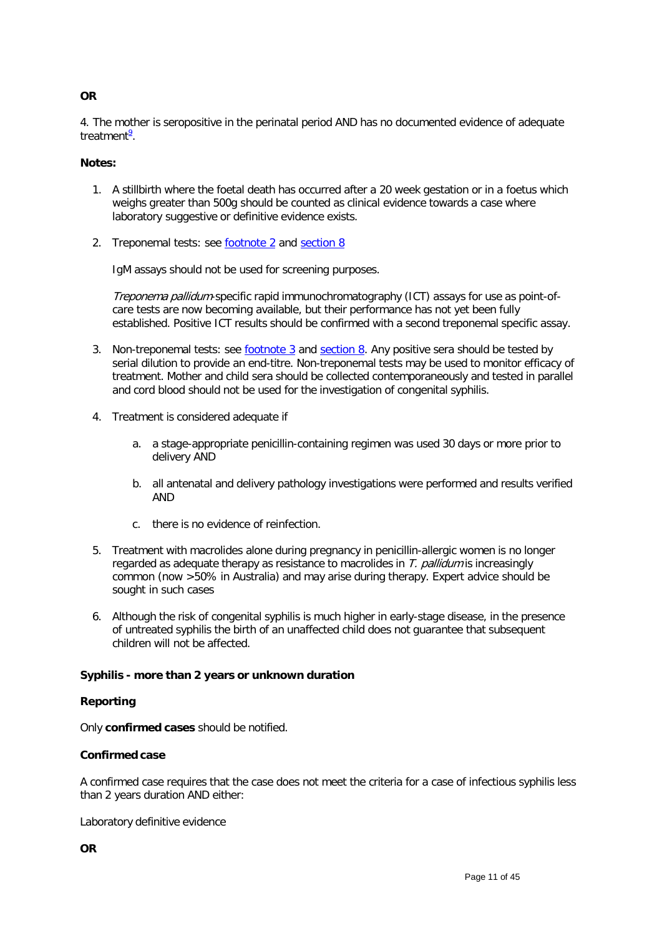### **OR**

4. The mother is seropositive in the perinatal period AND has no documented evidence of adequate [t](#page-20-9)reatment<sup>9</sup>.

#### **Notes:**

- 1. A stillbirth where the foetal death has occurred after a 20 week gestation or in a foetus which weighs greater than 500g should be counted as clinical evidence towards a case where laboratory suggestive or definitive evidence exists.
- 2. Treponemal tests: see [footnote](#page-7-5) 2 and [section 8](#page-11-0)

<span id="page-10-1"></span>IgM assays should not be used for screening purposes.

<span id="page-10-3"></span><span id="page-10-2"></span>Treponema pallidum-specific rapid immunochromatography (ICT) assays for use as point-ofcare tests are now becoming available, but their performance has not yet been fully established. Positive ICT results should be confirmed with a second treponemal specific assay.

- 3. Non-treponemal tests: see [footnote 3](#page-7-6) and [section 8.](#page-11-0) Any positive sera should be tested by serial dilution to provide an end-titre. Non-treponemal tests may be used to monitor efficacy of treatment. Mother and child sera should be collected contemporaneously and tested in parallel and cord blood should not be used for the investigation of congenital syphilis.
- 4. Treatment is considered adequate if
	- a. a stage-appropriate penicillin-containing regimen was used 30 days or more prior to delivery AND
	- b. all antenatal and delivery pathology investigations were performed and results verified AND
	- c. there is no evidence of reinfection.
- 5. Treatment with macrolides alone during pregnancy in penicillin-allergic women is no longer regarded as adequate therapy as resistance to macrolides in T. pallidum is increasingly common (now >50% in Australia) and may arise during therapy. Expert advice should be sought in such cases
- 6. Although the risk of congenital syphilis is much higher in early-stage disease, in the presence of untreated syphilis the birth of an unaffected child does not guarantee that subsequent children will not be affected.

#### <span id="page-10-0"></span>**Syphilis - more than 2 years or unknown duration**

#### **Reporting**

Only **confirmed cases** should be notified.

#### **Confirmed case**

A confirmed case requires that the case does not meet the criteria for a case of infectious syphilis less than 2 years duration AND either:

Laboratory definitive evidence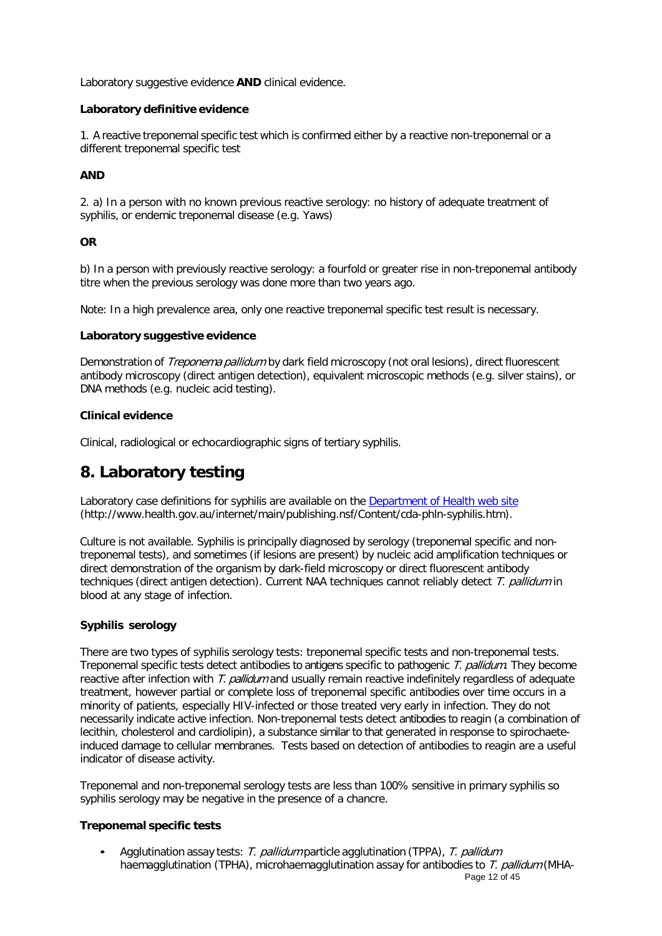Laboratory suggestive evidence **AND** clinical evidence.

#### **Laboratory definitive evidence**

1. A reactive treponemal specific test which is confirmed either by a reactive non-treponemal or a different treponemal specific test

#### **AND**

2. a) In a person with no known previous reactive serology: no history of adequate treatment of syphilis, or endemic treponemal disease (e.g. Yaws)

#### **OR**

b) In a person with previously reactive serology: a fourfold or greater rise in non-treponemal antibody titre when the previous serology was done more than two years ago.

Note: In a high prevalence area, only one reactive treponemal specific test result is necessary.

#### **Laboratory suggestive evidence**

Demonstration of *Treponema pallidum* by dark field microscopy (not oral lesions), direct fluorescent antibody microscopy (direct antigen detection), equivalent microscopic methods (e.g. silver stains), or DNA methods (e.g. nucleic acid testing).

#### **Clinical evidence**

Clinical, radiological or echocardiographic signs of tertiary syphilis.

# <span id="page-11-0"></span>**8. [Laboratory testing](#page-10-3)**

Laboratory case definitions for syphilis are available on the **[Department](http://www.health.gov.au/internet/main/publishing.nsf/Content/cda-phln-syphilis.htm) of Health web site** [\(http://www.health.gov.au/internet/main/publishing.nsf/Content/cda-phln-syphilis.htm\).](http://www.health.gov.au/internet/main/publishing.nsf/Content/cda-phln-syphilis.htm))

Culture is not available. Syphilis is principally diagnosed by serology (treponemal specific and nontreponemal tests), and sometimes (if lesions are present) by nucleic acid amplification techniques or direct demonstration of the organism by dark-field microscopy or direct fluorescent antibody techniques (direct antigen detection). Current NAA techniques cannot reliably detect T. pallidum in blood at any stage of infection.

#### <span id="page-11-1"></span>**Syphilis serology**

There are two types of syphilis serology tests: treponemal specific tests and non-treponemal tests. Treponemal specific tests detect antibodies to antigens specific to pathogenic T. pallidum. They become reactive after infection with T. pallidum and usually remain reactive indefinitely regardless of adequate treatment, however partial or complete loss of treponemal specific antibodies over time occurs in a minority of patients, especially HIV-infected or those treated very early in infection. They do not necessarily indicate active infection. Non-treponemal tests detect antibodies to reagin (a combination of lecithin, cholesterol and cardiolipin), a substance similar to that generated in response to spirochaeteinduced damage to cellular membranes. Tests based on detection of antibodies to reagin are a useful indicator of disease activity.

Treponemal and non-treponemal serology tests are less than 100% sensitive in primary syphilis so syphilis serology may be negative in the presence of a chancre.

#### <span id="page-11-2"></span>**Treponemal specific tests**

• Agglutination assay tests: T. pallidum particle agglutination (TPPA), T. pallidum haemagglutination (TPHA), microhaemagglutination assay for antibodies to T. pallidum (MHA-

Page 12 of 45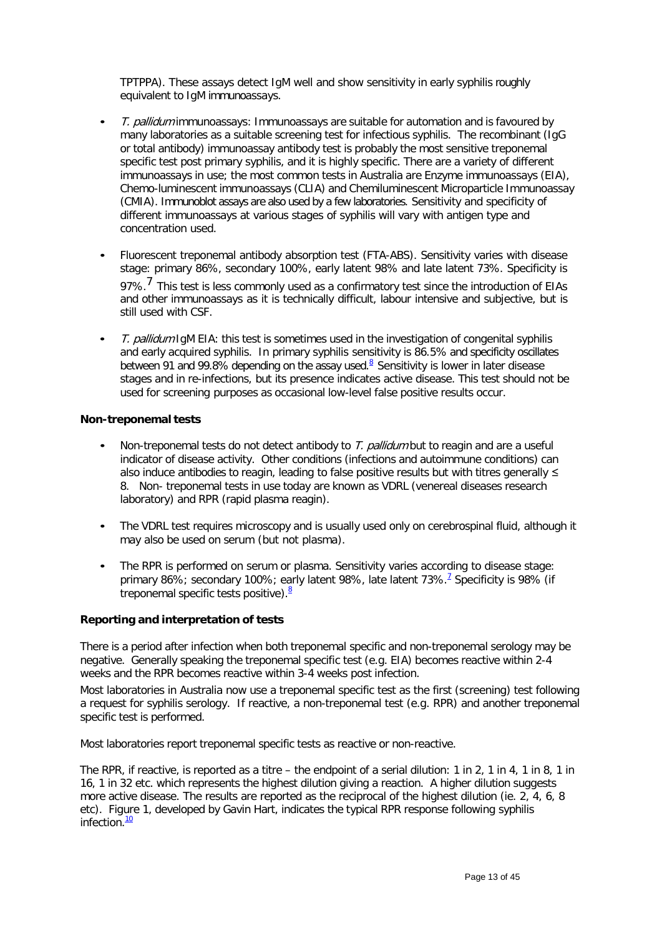TPTPPA). These assays detect IgM well and show sensitivity in early syphilis roughly equivalent to IgM immunoassays.

- T. pallidum immunoassays: Immunoassays are suitable for automation and is favoured by many laboratories as a suitable screening test for infectious syphilis. The recombinant (IgG or total antibody) immunoassay antibody test is probably the most sensitive treponemal specific test post primary syphilis, and it is highly specific. There are a variety of different immunoassays in use; the most common tests in Australia are Enzyme immunoassays (EIA), Chemo-luminescent immunoassays (CLIA) and Chemiluminescent Microparticle Immunoassay (CMIA). Immunoblot assays are also used by a few laboratories. Sensitivity and specificity of different immunoassays at various stages of syphilis will vary with antigen type and concentration used.
- Fluorescent treponemal antibody absorption test (FTA-ABS). Sensitivity varies with disease stage: primary 86%, secondary 100%, early latent 98% and late latent 73%. Specificity is 97%.<sup>7</sup> This test is less commonly used as a confirmatory test since the introduction of EIAs and other immunoassays as it is technically difficult, labour intensive and subjective, but is still used with CSF.
- T. pallidum IgM EIA: this test is sometimes used in the investigation of congenital syphilis and early acquired syphilis. In primary syphilis sensitivity is 86.5% and specificity oscillates between 91 and 99[.](#page-20-8)8% depending on the assay used.<sup>8</sup> Sensitivity is lower in later disease stages and in re-infections, but its presence indicates active disease. This test should not be used for screening purposes as occasional low-level false positive results occur.

#### <span id="page-12-0"></span>**Non-treponemal tests**

- Non-treponemal tests do not detect antibody to T. pallidum but to reagin and are a useful indicator of disease activity. Other conditions (infections and autoimmune conditions) can also induce antibodies to reagin, leading to false positive results but with titres generally  $\leq$ 8. Non- treponemal tests in use today are known as VDRL (venereal diseases research laboratory) and RPR (rapid plasma reagin).
- The VDRL test requires microscopy and is usually used only on cerebrospinal fluid, although it may also be used on serum (but not plasma).
- The RPR is performed on serum or plasma. Sensitivity varies according to disease stage: primary 86%; secondary 100%; early latent 98%, late latent [7](#page-20-7)3%.<sup>2</sup> Specificity is 98% (if treponemal specific tests positive)[.](#page-20-8)<sup>8</sup>

#### <span id="page-12-1"></span>**Reporting and interpretation of tests**

There is a period after infection when both treponemal specific and non-treponemal serology may be negative. Generally speaking the treponemal specific test (e.g. EIA) becomes reactive within 2-4 weeks and the RPR becomes reactive within 3-4 weeks post infection.

Most laboratories in Australia now use a treponemal specific test as the first (screening) test following a request for syphilis serology. If reactive, a non-treponemal test (e.g. RPR) and another treponemal specific test is performed.

Most laboratories report treponemal specific tests as reactive or non-reactive.

The RPR, if reactive, is reported as a titre – the endpoint of a serial dilution: 1 in 2, 1 in 4, 1 in 8, 1 in 16, 1 in 32 etc. which represents the highest dilution giving a reaction. A higher dilution suggests more active disease. The results are reported as the reciprocal of the highest dilution (ie. 2, 4, 6, 8 etc). Figure 1, developed by Gavin Hart, indicates the typical RPR response following syphilis infection.<sup>[10](#page-21-1)</sup>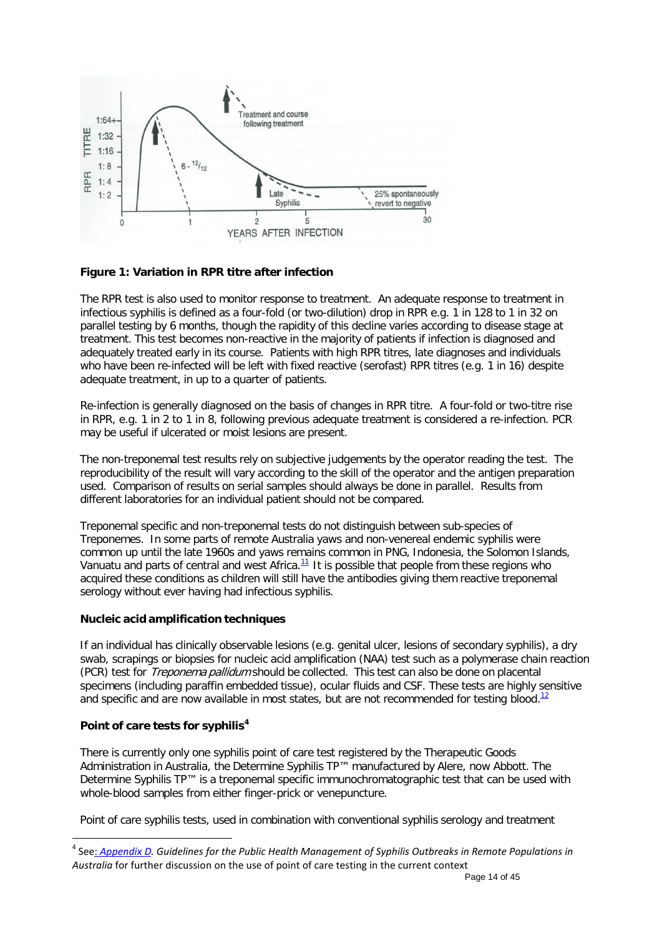

#### **Figure 1: Variation in RPR titre after infection**

The RPR test is also used to monitor response to treatment. An adequate response to treatment in infectious syphilis is defined as a four-fold (or two-dilution) drop in RPR e.g. 1 in 128 to 1 in 32 on parallel testing by 6 months, though the rapidity of this decline varies according to disease stage at treatment. This test becomes non-reactive in the majority of patients if infection is diagnosed and adequately treated early in its course. Patients with high RPR titres, late diagnoses and individuals who have been re-infected will be left with fixed reactive (serofast) RPR titres (e.g. 1 in 16) despite adequate treatment, in up to a quarter of patients.

Re-infection is generally diagnosed on the basis of changes in RPR titre. A four-fold or two-titre rise in RPR, e.g. 1 in 2 to 1 in 8, following previous adequate treatment is considered a re-infection. PCR may be useful if ulcerated or moist lesions are present.

The non-treponemal test results rely on subjective judgements by the operator reading the test. The reproducibility of the result will vary according to the skill of the operator and the antigen preparation used. Comparison of results on serial samples should always be done in parallel. Results from different laboratories for an individual patient should not be compared.

Treponemal specific and non-treponemal tests do not distinguish between sub-species of Treponemes. In some parts of remote Australia yaws and non-venereal endemic syphilis were common up until the late 1960s and yaws remains common in PNG, Indonesia, the Solomon Islands, Vanuatu and parts of central and west Africa.<sup>[11](#page-21-2)</sup> It is possible that people from these regions who acquired these conditions as children will still have the antibodies giving them reactive treponemal serology without ever having had infectious syphilis.

#### <span id="page-13-0"></span>**Nucleic acid amplification techniques**

If an individual has clinically observable lesions (e.g. genital ulcer, lesions of secondary syphilis), a dry swab, scrapings or biopsies for nucleic acid amplification (NAA) test such as a polymerase chain reaction (PCR) test for *Treponema pallidum* should be collected. This test can also be done on placental specimens (including paraffin embedded tissue), ocular fluids and CSF. These tests are highly sensitive and specific and are now available in most states, but are not recommended for testing blood.<sup>[12](#page-21-3)</sup>

#### <span id="page-13-1"></span>**Point of care tests for syphilis[4](#page-13-2)**

There is currently only one syphilis point of care test registered by the Therapeutic Goods Administration in Australia, the Determine Syphilis TP™ manufactured by Alere, now Abbott. The Determine Syphilis TP™ is a treponemal specific immunochromatographic test that can be used with whole-blood samples from either finger-prick or venepuncture.

Point of care syphilis tests, used in combination with conventional syphilis serology and treatment

<span id="page-13-2"></span> <sup>4</sup> See: *[Appendix D.](#page-30-0) Guidelines for the Public Health Management of Syphilis Outbreaks in Remote Populations in Australia* for further discussion on the use of point of care testing in the current context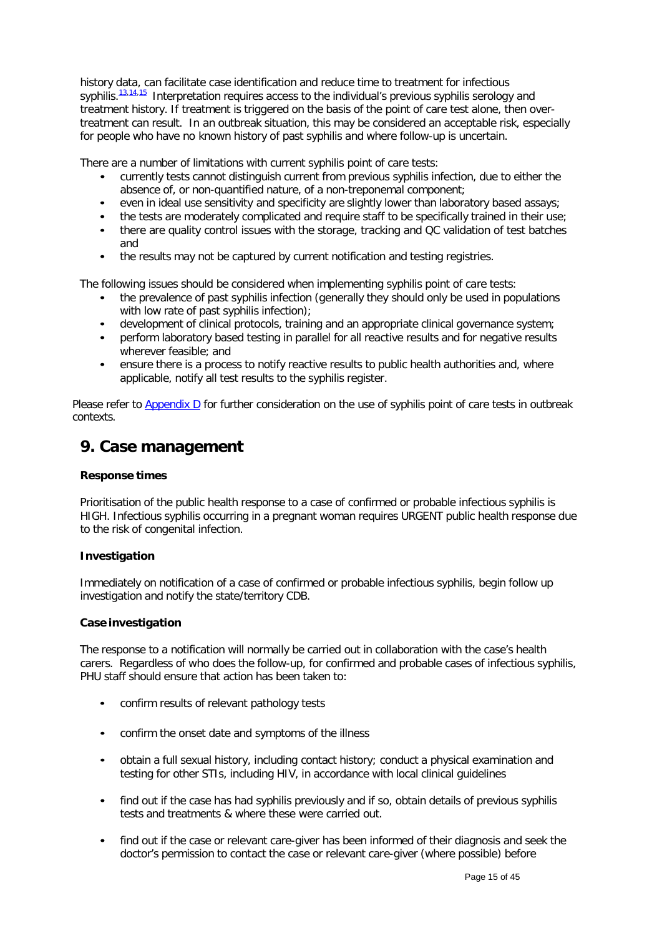history data, can facilitate case identification and reduce time to treatment for infectious syphilis.<sup>[13,](#page-21-4)[14,](#page-21-5)[15](#page-21-6)</sup> Interpretation requires access to the individual's previous syphilis serology and treatment history. If treatment is triggered on the basis of the point of care test alone, then overtreatment can result. In an outbreak situation, this may be considered an acceptable risk, especially for people who have no known history of past syphilis and where follow-up is uncertain.

There are a number of limitations with current syphilis point of care tests:

- currently tests cannot distinguish current from previous syphilis infection, due to either the absence of, or non-quantified nature, of a non-treponemal component;
- even in ideal use sensitivity and specificity are slightly lower than laboratory based assays;
- the tests are moderately complicated and require staff to be specifically trained in their use;<br>• there are quality control issues with the storage tracking and OC validation of test batches
- there are quality control issues with the storage, tracking and QC validation of test batches and
- the results may not be captured by current notification and testing registries.

The following issues should be considered when implementing syphilis point of care tests:

- the prevalence of past syphilis infection (generally they should only be used in populations with low rate of past syphilis infection);
- development of clinical protocols, training and an appropriate clinical governance system;<br>• nerform laboratory based testing in parallel for all reactive results and for negative results
- perform laboratory based testing in parallel for all reactive results and for negative results wherever feasible; and
- ensure there is a process to notify reactive results to public health authorities and, where applicable, notify all test results to the syphilis register.

Please refer to **Appendix D** for further consideration on the use of syphilis point of care tests in outbreak contexts.

# <span id="page-14-0"></span>**9. Case management**

#### <span id="page-14-1"></span>**Response times**

Prioritisation of the public health response to a case of confirmed or probable infectious syphilis is HIGH. Infectious syphilis occurring in a pregnant woman requires URGENT public health response due to the risk of congenital infection.

#### <span id="page-14-2"></span>**Investigation**

Immediately on notification of a case of confirmed or probable infectious syphilis, begin follow up investigation and notify the state/territory CDB.

#### <span id="page-14-3"></span>**Case investigation**

The response to a notification will normally be carried out in collaboration with the case's health carers. Regardless of who does the follow-up, for confirmed and probable cases of infectious syphilis, PHU staff should ensure that action has been taken to:

- confirm results of relevant pathology tests
- confirm the onset date and symptoms of the illness
- obtain a full sexual history, including contact history; conduct a physical examination and testing for other STIs, including HIV, in accordance with local clinical guidelines
- find out if the case has had syphilis previously and if so, obtain details of previous syphilis tests and treatments & where these were carried out.
- find out if the case or relevant care-giver has been informed of their diagnosis and seek the doctor's permission to contact the case or relevant care-giver (where possible) before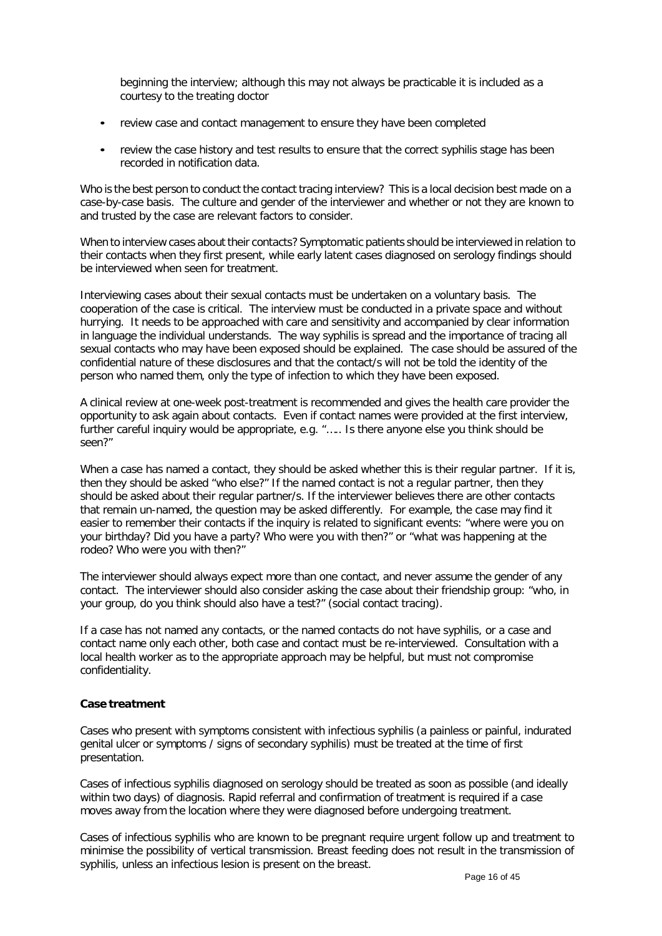beginning the interview; although this may not always be practicable it is included as a courtesy to the treating doctor

- review case and contact management to ensure they have been completed
- review the case history and test results to ensure that the correct syphilis stage has been recorded in notification data.

Who is the best person to conduct the contact tracing interview? This is a local decision best made on a case-by-case basis. The culture and gender of the interviewer and whether or not they are known to and trusted by the case are relevant factors to consider.

When to interview cases about their contacts? Symptomatic patients should be interviewed in relation to their contacts when they first present, while early latent cases diagnosed on serology findings should be interviewed when seen for treatment.

Interviewing cases about their sexual contacts must be undertaken on a voluntary basis. The cooperation of the case is critical. The interview must be conducted in a private space and without hurrying. It needs to be approached with care and sensitivity and accompanied by clear information in language the individual understands. The way syphilis is spread and the importance of tracing all sexual contacts who may have been exposed should be explained. The case should be assured of the confidential nature of these disclosures and that the contact/s will not be told the identity of the person who named them, only the type of infection to which they have been exposed.

A clinical review at one-week post-treatment is recommended and gives the health care provider the opportunity to ask again about contacts. Even if contact names were provided at the first interview, further careful inquiry would be appropriate, e.g. "….. Is there anyone else you think should be seen?"

When a case has named a contact, they should be asked whether this is their regular partner. If it is, then they should be asked "who else?" If the named contact is not a regular partner, then they should be asked about their regular partner/s. If the interviewer believes there are other contacts that remain un-named, the question may be asked differently. For example, the case may find it easier to remember their contacts if the inquiry is related to significant events: "where were you on your birthday? Did you have a party? Who were you with then?" or "what was happening at the rodeo? Who were you with then?"

The interviewer should always expect more than one contact, and never assume the gender of any contact. The interviewer should also consider asking the case about their friendship group: "who, in your group, do you think should also have a test?" (social contact tracing).

If a case has not named any contacts, or the named contacts do not have syphilis, or a case and contact name only each other, both case and contact must be re-interviewed. Consultation with a local health worker as to the appropriate approach may be helpful, but must not compromise confidentiality.

#### <span id="page-15-0"></span>**Case treatment**

Cases who present with symptoms consistent with infectious syphilis (a painless or painful, indurated genital ulcer or symptoms / signs of secondary syphilis) must be treated at the time of first presentation.

Cases of infectious syphilis diagnosed on serology should be treated as soon as possible (and ideally within two days) of diagnosis. Rapid referral and confirmation of treatment is required if a case moves away from the location where they were diagnosed before undergoing treatment.

Cases of infectious syphilis who are known to be pregnant require urgent follow up and treatment to minimise the possibility of vertical transmission. Breast feeding does not result in the transmission of syphilis, unless an infectious lesion is present on the breast.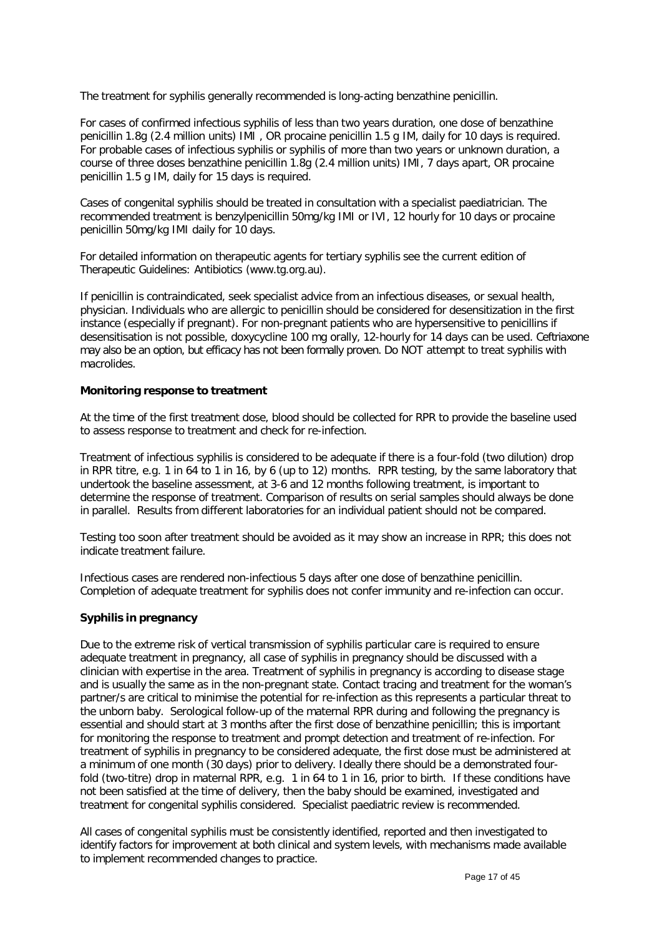The treatment for syphilis generally recommended is long-acting benzathine penicillin.

For cases of confirmed infectious syphilis of less than two years duration, one dose of benzathine penicillin 1.8g (2.4 million units) IMI , OR procaine penicillin 1.5 g IM, daily for 10 days is required. For probable cases of infectious syphilis or syphilis of more than two years or unknown duration, a course of three doses benzathine penicillin 1.8g (2.4 million units) IMI, 7 days apart, OR procaine penicillin 1.5 g IM, daily for 15 days is required.

Cases of congenital syphilis should be treated in consultation with a specialist paediatrician. The recommended treatment is benzylpenicillin 50mg/kg IMI or IVI, 12 hourly for 10 days or procaine penicillin 50mg/kg IMI daily for 10 days.

For detailed information on therapeutic agents for tertiary syphilis see the current edition of [Therapeutic](http://www.tg.org.au/) Guidelines: Antibiotics (www.tg.org.au).

If penicillin is contraindicated, seek specialist advice from an infectious diseases, or sexual health, physician. Individuals who are allergic to penicillin should be considered for desensitization in the first instance (especially if pregnant). For non-pregnant patients who are hypersensitive to penicillins if desensitisation is not possible, doxycycline 100 mg orally, 12-hourly for 14 days can be used. Ceftriaxone may also be an option, but efficacy has not been formally proven. Do NOT attempt to treat syphilis with macrolides.

#### <span id="page-16-0"></span>**Monitoring response to treatment**

At the time of the first treatment dose, blood should be collected for RPR to provide the baseline used to assess response to treatment and check for re-infection.

Treatment of infectious syphilis is considered to be adequate if there is a four-fold (two dilution) drop in RPR titre, e.g. 1 in 64 to 1 in 16, by 6 (up to 12) months. RPR testing, by the same laboratory that undertook the baseline assessment, at 3-6 and 12 months following treatment, is important to determine the response of treatment. Comparison of results on serial samples should always be done in parallel. Results from different laboratories for an individual patient should not be compared.

Testing too soon after treatment should be avoided as it may show an increase in RPR; this does not indicate treatment failure.

Infectious cases are rendered non-infectious 5 days after one dose of benzathine penicillin. Completion of adequate treatment for syphilis does not confer immunity and re-infection can occur.

#### <span id="page-16-1"></span>**Syphilis in pregnancy**

Due to the extreme risk of vertical transmission of syphilis particular care is required to ensure adequate treatment in pregnancy, all case of syphilis in pregnancy should be discussed with a clinician with expertise in the area. Treatment of syphilis in pregnancy is according to disease stage and is usually the same as in the non-pregnant state. Contact tracing and treatment for the woman's partner/s are critical to minimise the potential for re-infection as this represents a particular threat to the unborn baby. Serological follow-up of the maternal RPR during and following the pregnancy is essential and should start at 3 months after the first dose of benzathine penicillin; this is important for monitoring the response to treatment and prompt detection and treatment of re-infection. For treatment of syphilis in pregnancy to be considered adequate, the first dose must be administered at a minimum of one month (30 days) prior to delivery. Ideally there should be a demonstrated fourfold (two-titre) drop in maternal RPR, e.g. 1 in 64 to 1 in 16, prior to birth. If these conditions have not been satisfied at the time of delivery, then the baby should be examined, investigated and treatment for congenital syphilis considered. Specialist paediatric review is recommended.

All cases of congenital syphilis must be consistently identified, reported and then investigated to identify factors for improvement at both clinical and system levels, with mechanisms made available to implement recommended changes to practice.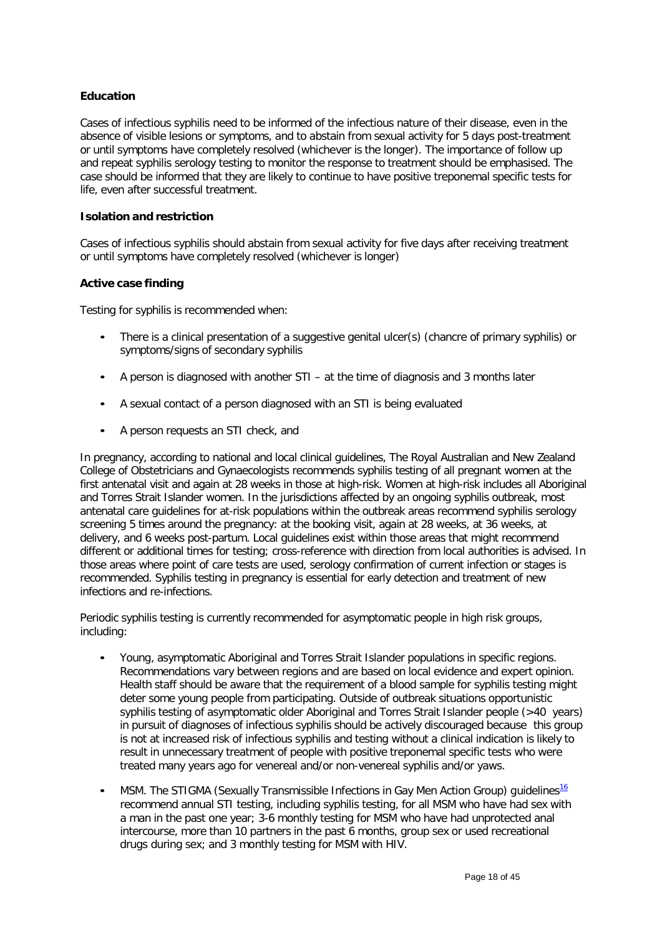### <span id="page-17-0"></span>**Education**

Cases of infectious syphilis need to be informed of the infectious nature of their disease, even in the absence of visible lesions or symptoms, and to abstain from sexual activity for 5 days post-treatment or until symptoms have completely resolved (whichever is the longer). The importance of follow up and repeat syphilis serology testing to monitor the response to treatment should be emphasised. The case should be informed that they are likely to continue to have positive treponemal specific tests for life, even after successful treatment.

#### <span id="page-17-1"></span>**Isolation and restriction**

Cases of infectious syphilis should abstain from sexual activity for five days after receiving treatment or until symptoms have completely resolved (whichever is longer)

#### <span id="page-17-2"></span>**Active case finding**

Testing for syphilis is recommended when:

- There is a clinical presentation of a suggestive genital ulcer(s) (chancre of primary syphilis) or symptoms/signs of secondary syphilis
- A person is diagnosed with another STI at the time of diagnosis and 3 months later
- A sexual contact of a person diagnosed with an STI is being evaluated
- A person requests an STI check, and

In pregnancy, according to national and local clinical guidelines, The Royal Australian and New Zealand College of Obstetricians and Gynaecologists recommends syphilis testing of all pregnant women at the first antenatal visit and again at 28 weeks in those at high-risk. Women at high-risk includes all Aboriginal and Torres Strait Islander women. In the jurisdictions affected by an ongoing syphilis outbreak, most antenatal care guidelines for at-risk populations within the outbreak areas recommend syphilis serology screening 5 times around the pregnancy: at the booking visit, again at 28 weeks, at 36 weeks, at delivery, and 6 weeks post-partum. Local guidelines exist within those areas that might recommend different or additional times for testing; cross-reference with direction from local authorities is advised. In those areas where point of care tests are used, serology confirmation of current infection or stages is recommended. Syphilis testing in pregnancy is essential for early detection and treatment of new infections and re-infections.

Periodic syphilis testing is currently recommended for asymptomatic people in high risk groups, including:

- Young, asymptomatic Aboriginal and Torres Strait Islander populations in specific regions. Recommendations vary between regions and are based on local evidence and expert opinion. Health staff should be aware that the requirement of a blood sample for syphilis testing might deter some young people from participating. Outside of outbreak situations opportunistic syphilis testing of asymptomatic older Aboriginal and Torres Strait Islander people (>40 years) in pursuit of diagnoses of infectious syphilis should be actively discouraged because this group is not at increased risk of infectious syphilis and testing without a clinical indication is likely to result in unnecessary treatment of people with positive treponemal specific tests who were treated many years ago for venereal and/or non-venereal syphilis and/or yaws.
- MSM. The STIGMA (Sexually Transmissible Infections in Gay Men Action Group) guidelines<sup>[16](#page-21-0)</sup> recommend annual STI testing, including syphilis testing, for all MSM who have had sex with a man in the past one year; 3-6 monthly testing for MSM who have had unprotected anal intercourse, more than 10 partners in the past 6 months, group sex or used recreational drugs during sex; and 3 monthly testing for MSM with HIV.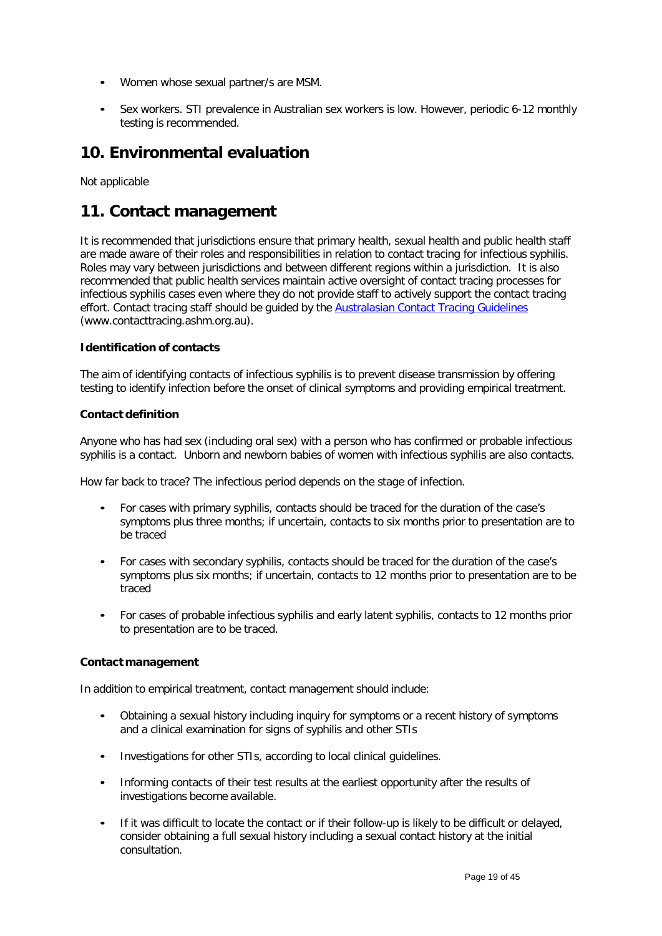- Women whose sexual partner/s are MSM.
- Sex workers. STI prevalence in Australian sex workers is low. However, periodic 6-12 monthly testing is recommended.

# <span id="page-18-0"></span>**10. Environmental evaluation**

Not applicable

# <span id="page-18-1"></span>**11. Contact management**

It is recommended that jurisdictions ensure that primary health, sexual health and public health staff are made aware of their roles and responsibilities in relation to contact tracing for infectious syphilis. Roles may vary between jurisdictions and between different regions within a jurisdiction. It is also recommended that public health services maintain active oversight of contact tracing processes for infectious syphilis cases even where they do not provide staff to actively support the contact tracing effort. Contact tracing staff should be guided by the [Australasian](http://ctm.ashm.org.au/) Contact Tracing Guidelines (www.contacttracing.ashm.org.au).

### <span id="page-18-2"></span>**Identification of contacts**

The aim of identifying contacts of infectious syphilis is to prevent disease transmission by offering testing to identify infection before the onset of clinical symptoms and providing empirical treatment.

#### <span id="page-18-3"></span>**Contact definition**

Anyone who has had sex (including oral sex) with a person who has confirmed or probable infectious syphilis is a contact. Unborn and newborn babies of women with infectious syphilis are also contacts.

How far back to trace? The infectious period depends on the stage of infection.

- For cases with primary syphilis, contacts should be traced for the duration of the case's symptoms plus three months; if uncertain, contacts to six months prior to presentation are to be traced
- For cases with secondary syphilis, contacts should be traced for the duration of the case's symptoms plus six months; if uncertain, contacts to 12 months prior to presentation are to be traced
- For cases of probable infectious syphilis and early latent syphilis, contacts to 12 months prior to presentation are to be traced.

#### <span id="page-18-4"></span>**Contact management**

In addition to empirical treatment, contact management should include:

- Obtaining a sexual history including inquiry for symptoms or a recent history of symptoms and a clinical examination for signs of syphilis and other STIs
- Investigations for other STIs, according to local clinical guidelines.
- Informing contacts of their test results at the earliest opportunity after the results of investigations become available.
- If it was difficult to locate the contact or if their follow-up is likely to be difficult or delayed, consider obtaining a full sexual history including a sexual contact history at the initial consultation.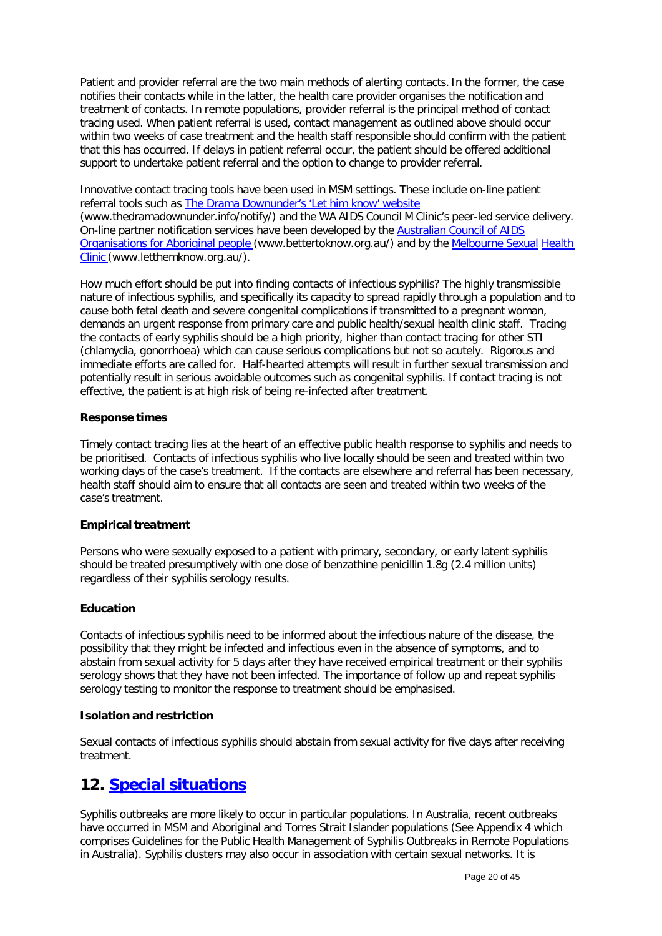Patient and provider referral are the two main methods of alerting contacts. In the former, the case notifies their contacts while in the latter, the health care provider organises the notification and treatment of contacts. In remote populations, provider referral is the principal method of contact tracing used. When patient referral is used, contact management as outlined above should occur within two weeks of case treatment and the health staff responsible should confirm with the patient that this has occurred. If delays in patient referral occur, the patient should be offered additional support to undertake patient referral and the option to change to provider referral.

Innovative contact tracing tools have been used in MSM settings. These include on-line patient referral tools such as The Drama [Downunder's](http://www.thedramadownunder.info/notify/) 'Let him know' website (www.thedramadownunder.info/notify/) and the WA AIDS Council M Clinic's peer-led service delivery. On-line partner notification services have been developed by the [Australian](http://www.bettertoknow.org.au/) Council of AIDS [Organisations](http://www.bettertoknow.org.au/) for Aboriginal people (www.bettertoknow.org.au/) and by the [Melbourne](http://www.letthemknow.org.au/) Sexual [Health](http://www.letthemknow.org.au/) [Clinic](http://www.letthemknow.org.au/) (www.letthemknow.org.au/).

How much effort should be put into finding contacts of infectious syphilis? The highly transmissible nature of infectious syphilis, and specifically its capacity to spread rapidly through a population and to cause both fetal death and severe congenital complications if transmitted to a pregnant woman, demands an urgent response from primary care and public health/sexual health clinic staff. Tracing the contacts of early syphilis should be a high priority, higher than contact tracing for other STI (chlamydia, gonorrhoea) which can cause serious complications but not so acutely. Rigorous and immediate efforts are called for. Half-hearted attempts will result in further sexual transmission and potentially result in serious avoidable outcomes such as congenital syphilis. If contact tracing is not effective, the patient is at high risk of being re-infected after treatment.

### <span id="page-19-0"></span>**Response times**

Timely contact tracing lies at the heart of an effective public health response to syphilis and needs to be prioritised. Contacts of infectious syphilis who live locally should be seen and treated within two working days of the case's treatment. If the contacts are elsewhere and referral has been necessary, health staff should aim to ensure that all contacts are seen and treated within two weeks of the case's treatment.

#### <span id="page-19-1"></span>**Empirical treatment**

Persons who were sexually exposed to a patient with primary, secondary, or early latent syphilis should be treated presumptively with one dose of benzathine penicillin 1.8g (2.4 million units) regardless of their syphilis serology results.

#### <span id="page-19-2"></span>**Education**

Contacts of infectious syphilis need to be informed about the infectious nature of the disease, the possibility that they might be infected and infectious even in the absence of symptoms, and to abstain from sexual activity for 5 days after they have received empirical treatment or their syphilis serology shows that they have not been infected. The importance of follow up and repeat syphilis serology testing to monitor the response to treatment should be emphasised.

#### <span id="page-19-3"></span>**Isolation and restriction**

Sexual contacts of infectious syphilis should abstain from sexual activity for five days after receiving treatment.

# <span id="page-19-4"></span>**12. Special [situations](#page-6-5)**

Syphilis outbreaks are more likely to occur in particular populations. In Australia, recent outbreaks have occurred in MSM and Aboriginal and Torres Strait Islander populations (See Appendix 4 which comprises Guidelines for the Public Health Management of Syphilis Outbreaks in Remote Populations in Australia). Syphilis clusters may also occur in association with certain sexual networks. It is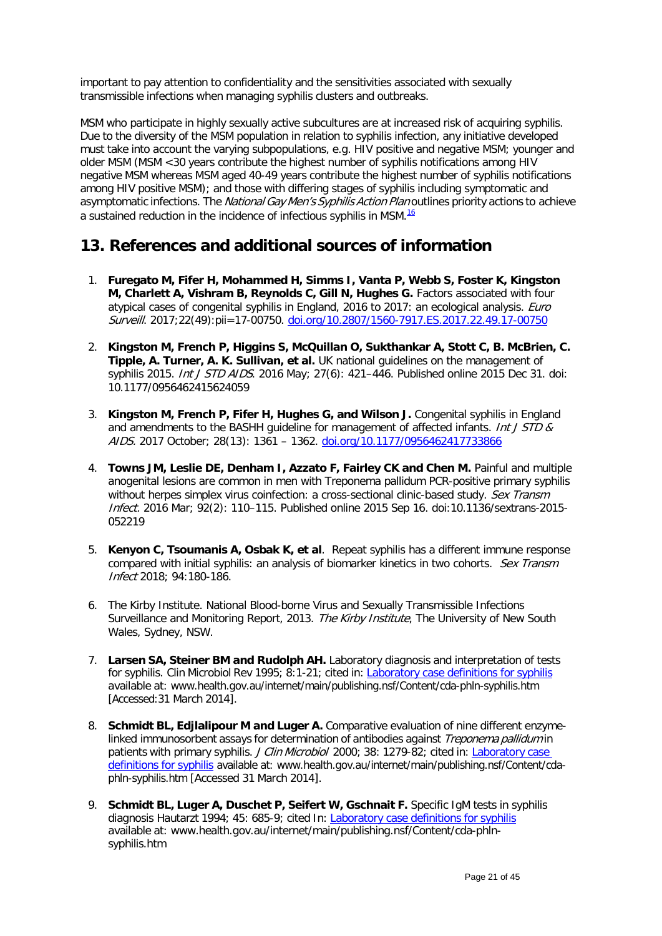important to pay attention to confidentiality and the sensitivities associated with sexually transmissible infections when managing syphilis clusters and outbreaks.

MSM who participate in highly sexually active subcultures are at increased risk of acquiring syphilis. Due to the diversity of the MSM population in relation to syphilis infection, any initiative developed must take into account the varying subpopulations, e.g. HIV positive and negative MSM; younger and older MSM (MSM <30 years contribute the highest number of syphilis notifications among HIV negative MSM whereas MSM aged 40-49 years contribute the highest number of syphilis notifications among HIV positive MSM); and those with differing stages of syphilis including symptomatic and asymptomatic infections. The National Gay Men's Syphilis Action Plan outlines priority actions to achieve a sustained reduction in the incidence of infectious syphilis in MSM.<sup>[16](#page-21-0)</sup>

# <span id="page-20-0"></span>**13. References and additional sources of information**

- <span id="page-20-1"></span>1. **Furegato M, Fifer H, Mohammed H, Simms I, Vanta P, Webb S, Foster K, Kingston M, Charlett A, Vishram B, Reynolds C, Gill N, Hughes G.** Factors associated with four atypical cases of congenital syphilis in England, 2016 to 2017: an ecological analysis. *Euro* Surveill. 2017;22(49):pii=17-00750. [doi.org/10.2807/1560-7917.ES.2017.22.49.17-00750](https://doi.org/10.2807/1560-7917.ES.2017.22.49.17-00750)
- <span id="page-20-2"></span>2. **Kingston M, French P, Higgins S, McQuillan O, Sukthankar A, Stott C, B. McBrien, C. Tipple, A. Turner, A. K. Sullivan, et al.** UK national guidelines on the management of syphilis 2015. Int J STD AIDS. 2016 May; 27(6): 421–446. Published online 2015 Dec 31. doi: 10.1177/0956462415624059
- <span id="page-20-3"></span>3. **Kingston M, French P, Fifer H, Hughes G, and Wilson J.** Congenital syphilis in England and amendments to the BASHH guideline for management of affected infants. Int J STD & AIDS. 2017 October; 28(13): 1361 – 1362. [doi.org/10.1177/0956462417733866](https://doi.org/10.1177/0956462417733866)
- <span id="page-20-4"></span>4. **Towns JM, Leslie DE, Denham I, Azzato F, Fairley CK and Chen M.** Painful and multiple anogenital lesions are common in men with Treponema pallidum PCR-positive primary syphilis without herpes simplex virus coinfection: a cross-sectional clinic-based study. Sex Transm Infect. 2016 Mar; 92(2): 110–115. Published online 2015 Sep 16. doi:10.1136/sextrans-2015- 052219
- <span id="page-20-5"></span>5. **Kenyon C, Tsoumanis A, Osbak K, et al**. Repeat syphilis has a different immune response compared with initial syphilis: an analysis of biomarker kinetics in two cohorts. Sex Transm Infect 2018; 94:180-186.
- <span id="page-20-6"></span>6. The Kirby Institute. National Blood-borne Virus and Sexually Transmissible Infections Surveillance and Monitoring Report, 2013. The Kirby Institute, The University of New South Wales, Sydney, NSW.
- <span id="page-20-7"></span>7. **Larsen SA, Steiner BM and Rudolph AH.** Laboratory diagnosis and interpretation of tests for syphilis. Clin Microbiol Rev 1995; 8:1-21; cited in: [Laboratory](http://www.health.gov.au/internet/main/publishing.nsf/Content/cda-phln-syphilis.htm) case definitions for syphilis available at: www.health.gov.au/internet/main/publishing.nsf/Content/cda-phln-syphilis.htm [Accessed:31 March 2014].
- <span id="page-20-8"></span>8. **Schmidt BL, Edjlalipour M and Luger A.** Comparative evaluation of nine different enzymelinked immunosorbent assays for determination of antibodies against Treponema pallidum in patients with primary syphilis. J Clin Microbiol 2000; 38: 1279-82; cited in: [Laboratory](http://www.health.gov.au/internet/main/publishing.nsf/Content/cda-phln-syphilis.htm) case [definitions](http://www.health.gov.au/internet/main/publishing.nsf/Content/cda-phln-syphilis.htm) for syphilis available at: www.health.gov.au/internet/main/publishing.nsf/Content/cdaphln-syphilis.htm [Accessed 31 March 2014].
- <span id="page-20-9"></span>9. **Schmidt BL, Luger A, Duschet P, Seifert W, Gschnait F.** Specific IgM tests in syphilis diagnosis Hautarzt 1994; 45: 685-9; cited In: [Laboratory](http://www.health.gov.au/internet/main/publishing.nsf/Content/cda-phln-syphilis.htm) case definitions for syphilis available at: www.health.gov.au/internet/main/publishing.nsf/Content/cda-phlnsyphilis.htm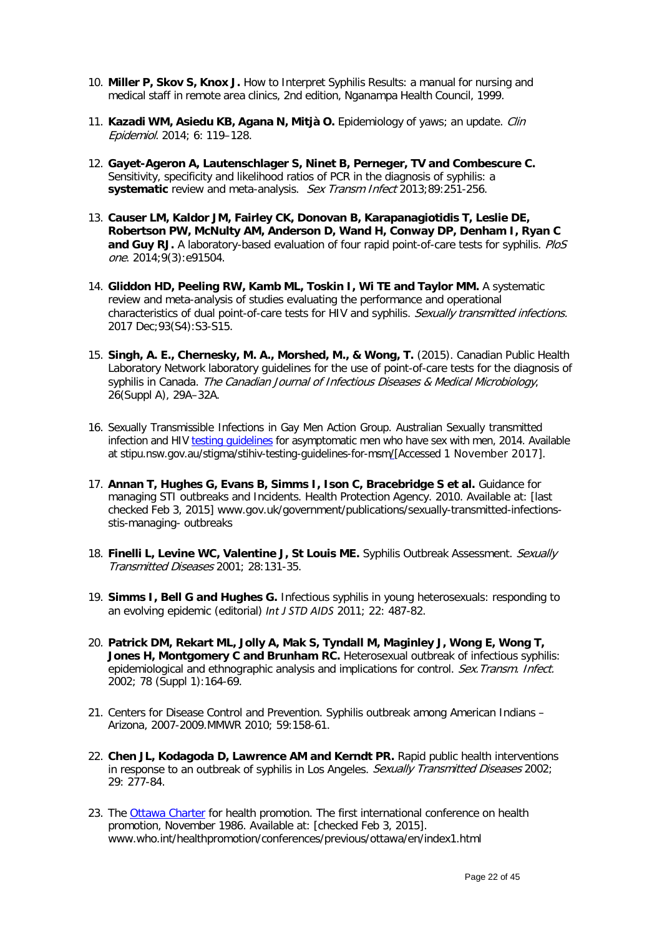- <span id="page-21-1"></span>10. **Miller P, Skov S, Knox J.** How to Interpret Syphilis Results: a manual for nursing and medical staff in remote area clinics, 2nd edition, Nganampa Health Council, 1999.
- <span id="page-21-2"></span>11. **Kazadi WM, Asiedu KB, Agana N, Mitjà O.** Epidemiology of yaws; an update. Clin Epidemiol. 2014; 6: 119–128.
- <span id="page-21-3"></span>12. **Gayet-Ageron A, Lautenschlager S, Ninet B, Perneger, TV and Combescure C.**  Sensitivity, specificity and likelihood ratios of PCR in the diagnosis of syphilis: a **systematic** review and meta-analysis. Sex Transm Infect 2013;89:251-256.
- <span id="page-21-4"></span>13. **Causer LM, Kaldor JM, Fairley CK, Donovan B, Karapanagiotidis T, Leslie DE, Robertson PW, McNulty AM, Anderson D, Wand H, Conway DP, Denham I, Ryan C** and Guy RJ. A laboratory-based evaluation of four rapid point-of-care tests for syphilis. PloS one. 2014;9(3):e91504.
- <span id="page-21-5"></span>14. **Gliddon HD, Peeling RW, Kamb ML, Toskin I, Wi TE and Taylor MM.** A systematic review and meta-analysis of studies evaluating the performance and operational characteristics of dual point-of-care tests for HIV and syphilis. Sexually transmitted infections. 2017 Dec;93(S4):S3-S15.
- <span id="page-21-6"></span>15. **Singh, A. E., Chernesky, M. A., Morshed, M., & Wong, T.** (2015). Canadian Public Health Laboratory Network laboratory guidelines for the use of point-of-care tests for the diagnosis of syphilis in Canada. The Canadian Journal of Infectious Diseases & Medical Microbiology, 26(Suppl A), 29A–32A.
- <span id="page-21-0"></span>16. Sexually Transmissible Infections in Gay Men Action Group. Australian Sexually transmitted infection and HIV testing [guidelines](https://stipu.nsw.gov.au/stigma/stihiv-testing-guidelines-for-msm/) for asymptomatic men who have sex with men, 2014. Available at stipu.nsw.gov.au/stigma/stihiv-testing-guidelines-for-msm/[Accessed 1 November 2017].
- <span id="page-21-7"></span>17. **Annan T, Hughes G, Evans B, Simms I, Ison C, Bracebridge S et al.** Guidance for managing STI outbreaks and Incidents. Health Protection Agency. 2010. Available at: [last checked Feb 3, 2015] www.gov.uk/government/publications/sexually-transmitted-infectionsstis-managing- outbreaks
- <span id="page-21-8"></span>18. **Finelli L, Levine WC, Valentine J, St Louis ME.** Syphilis Outbreak Assessment. Sexually Transmitted Diseases 2001; 28:131-35.
- <span id="page-21-9"></span>19. **Simms I, Bell G and Hughes G.** Infectious syphilis in young heterosexuals: responding to an evolving epidemic (editorial) *Int J STD AIDS* 2011; 22: 487-82.
- <span id="page-21-10"></span>20. **Patrick DM, Rekart ML, Jolly A, Mak S, Tyndall M, Maginley J, Wong E, Wong T, Jones H, Montgomery C and Brunham RC.** Heterosexual outbreak of infectious syphilis: epidemiological and ethnographic analysis and implications for control. Sex. Transm. Infect. 2002; 78 (Suppl 1):164-69.
- <span id="page-21-11"></span>21. Centers for Disease Control and Prevention. Syphilis outbreak among American Indians – Arizona, 2007-2009.MMWR 2010; 59:158-61.
- <span id="page-21-12"></span>22. **Chen JL, Kodagoda D, Lawrence AM and Kerndt PR.** Rapid public health interventions in response to an outbreak of syphilis in Los Angeles. Sexually Transmitted Diseases 2002; 29: 277-84.
- <span id="page-21-13"></span>23. The [Ottawa Charter](http://www.who.int/healthpromotion/conferences/previous/ottawa/en/index1.html) for health promotion. The first international conference on health promotion, November 1986. Available at: [checked Feb 3, 2015]. www.who.int/healthpromotion/conferences/previous/ottawa/en/index1.html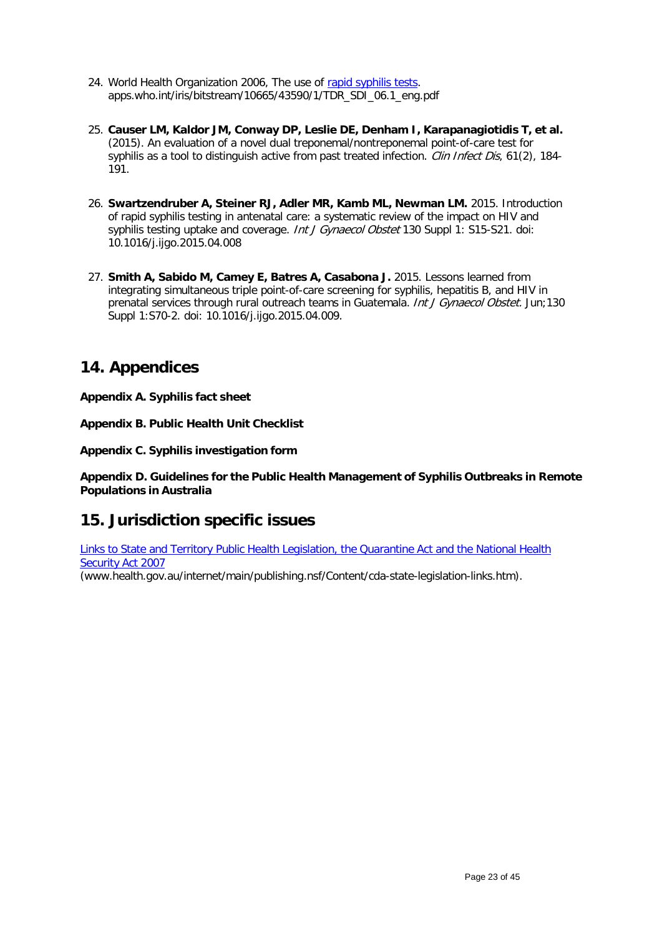- <span id="page-22-6"></span>24. World Health Organization 2006, The use of rapid syphilis tests. apps.who.int/iris/bitstream/10665/43590/1/TDR\_SDI\_06.1\_eng.pdf
- <span id="page-22-7"></span>25. **Causer LM, Kaldor JM, Conway DP, Leslie DE, Denham I, Karapanagiotidis T, et al.** (2015). An evaluation of a novel dual treponemal/nontreponemal point-of-care test for syphilis as a tool to distinguish active from past treated infection. Clin Infect Dis, 61(2), 184-191.
- <span id="page-22-8"></span>26. **Swartzendruber A, Steiner RJ, Adler MR, Kamb ML, Newman LM.** 2015. Introduction of rapid syphilis testing in antenatal care: a systematic review of the impact on HIV and syphilis testing uptake and coverage. Int J Gynaecol Obstet 130 Suppl 1: S15-S21. doi: 10.1016/j.ijgo.2015.04.008
- <span id="page-22-9"></span>27. **Smith A, Sabido M, Camey E, Batres A, Casabona J.** 2015. Lessons learned from integrating simultaneous triple point-of-care screening for syphilis, hepatitis B, and HIV in prenatal services through rural outreach teams in Guatemala. Int J Gynaecol Obstet. Jun;130 Suppl 1:S70-2. doi: 10.1016/j.ijgo.2015.04.009.

# <span id="page-22-0"></span>**14. Appendices**

<span id="page-22-1"></span>**Appendix A. Syphilis fact sheet**

<span id="page-22-2"></span>**Appendix B. Public Health Unit Checklist**

<span id="page-22-3"></span>**Appendix C. Syphilis investigation form**

<span id="page-22-4"></span>**Appendix D. Guidelines for the Public Health Management of Syphilis Outbreaks in Remote Populations in Australia**

# <span id="page-22-5"></span>**15. Jurisdiction specific issues**

Links to State and Territory Public Health [Legislation,](http://www.health.gov.au/internet/main/publishing.nsf/Content/cda-state-legislation-links.htm) the Quarantine Act and the National Health [Security](http://www.health.gov.au/internet/main/publishing.nsf/Content/cda-state-legislation-links.htm) Act 2007 (www.health.gov.au/internet/main/publishing.nsf/Content/cda-state-legislation-links.htm).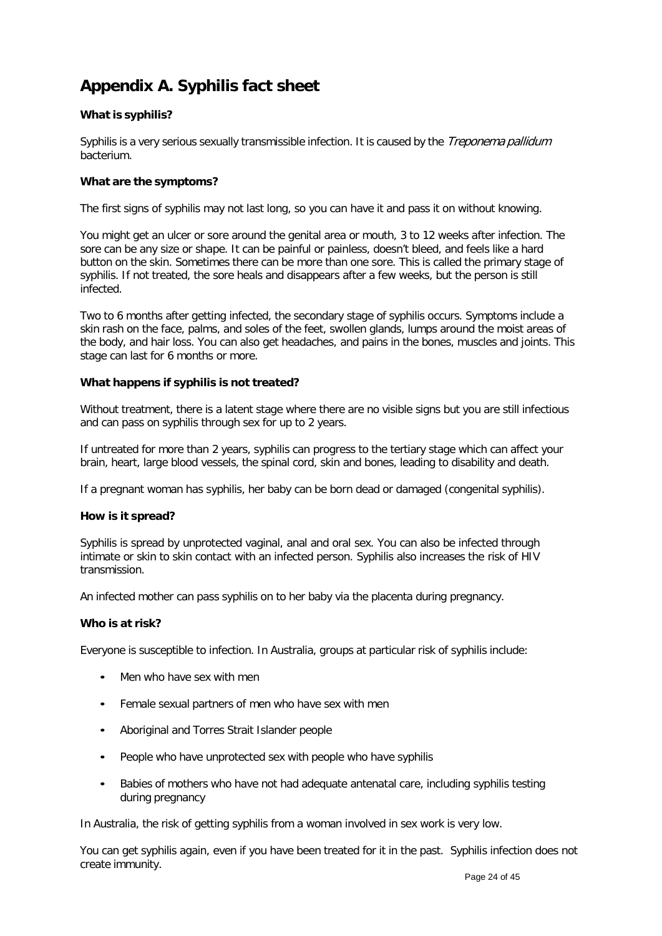# <span id="page-23-0"></span>**Appendix A. Syphilis fact sheet**

### **What is syphilis?**

Syphilis is a very serious sexually transmissible infection. It is caused by the *Treponema pallidum* bacterium.

#### **What are the symptoms?**

The first signs of syphilis may not last long, so you can have it and pass it on without knowing.

You might get an ulcer or sore around the genital area or mouth, 3 to 12 weeks after infection. The sore can be any size or shape. It can be painful or painless, doesn't bleed, and feels like a hard button on the skin. Sometimes there can be more than one sore. This is called the primary stage of syphilis. If not treated, the sore heals and disappears after a few weeks, but the person is still infected.

Two to 6 months after getting infected, the secondary stage of syphilis occurs. Symptoms include a skin rash on the face, palms, and soles of the feet, swollen glands, lumps around the moist areas of the body, and hair loss. You can also get headaches, and pains in the bones, muscles and joints. This stage can last for 6 months or more.

#### **What happens if syphilis is not treated?**

Without treatment, there is a latent stage where there are no visible signs but you are still infectious and can pass on syphilis through sex for up to 2 years.

If untreated for more than 2 years, syphilis can progress to the tertiary stage which can affect your brain, heart, large blood vessels, the spinal cord, skin and bones, leading to disability and death.

If a pregnant woman has syphilis, her baby can be born dead or damaged (congenital syphilis).

#### **How is it spread?**

Syphilis is spread by unprotected vaginal, anal and oral sex. You can also be infected through intimate or skin to skin contact with an infected person. Syphilis also increases the risk of HIV transmission.

An infected mother can pass syphilis on to her baby via the placenta during pregnancy.

#### **Who is at risk?**

Everyone is susceptible to infection. In Australia, groups at particular risk of syphilis include:

- Men who have sex with men
- Female sexual partners of men who have sex with men
- Aboriginal and Torres Strait Islander people
- People who have unprotected sex with people who have syphilis
- Babies of mothers who have not had adequate antenatal care, including syphilis testing during pregnancy

In Australia, the risk of getting syphilis from a woman involved in sex work is very low.

You can get syphilis again, even if you have been treated for it in the past. Syphilis infection does not create immunity.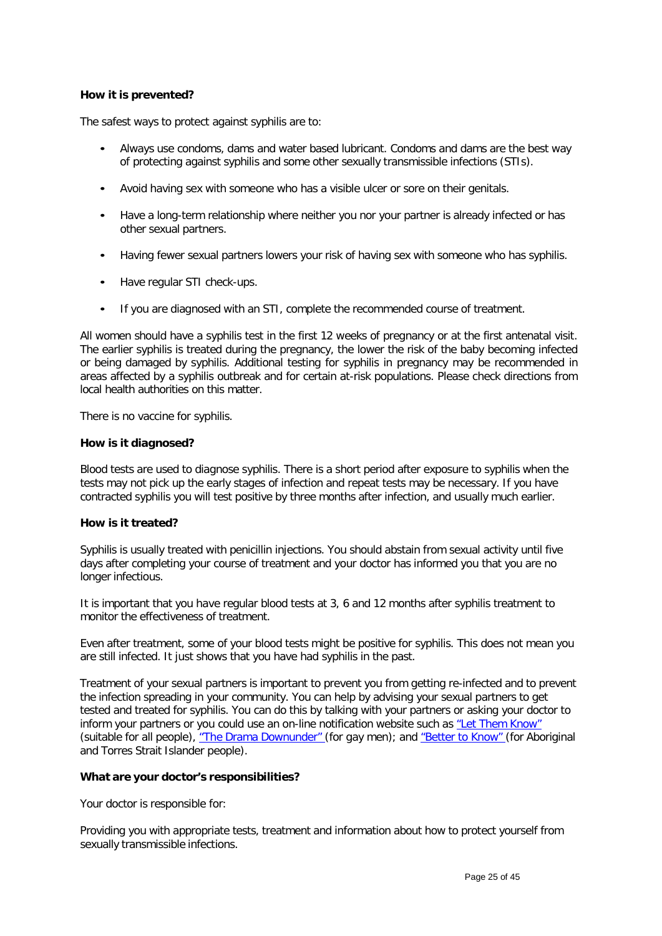#### **How it is prevented?**

The safest ways to protect against syphilis are to:

- Always use condoms, dams and water based lubricant. Condoms and dams are the best way of protecting against syphilis and some other sexually transmissible infections (STIs).
- Avoid having sex with someone who has a visible ulcer or sore on their genitals.
- Have a long-term relationship where neither you nor your partner is already infected or has other sexual partners.
- Having fewer sexual partners lowers your risk of having sex with someone who has syphilis.
- Have regular STI check-ups.
- If you are diagnosed with an STI, complete the recommended course of treatment.

All women should have a syphilis test in the first 12 weeks of pregnancy or at the first antenatal visit. The earlier syphilis is treated during the pregnancy, the lower the risk of the baby becoming infected or being damaged by syphilis. Additional testing for syphilis in pregnancy may be recommended in areas affected by a syphilis outbreak and for certain at-risk populations. Please check directions from local health authorities on this matter.

There is no vaccine for syphilis.

#### **How is it diagnosed?**

Blood tests are used to diagnose syphilis. There is a short period after exposure to syphilis when the tests may not pick up the early stages of infection and repeat tests may be necessary. If you have contracted syphilis you will test positive by three months after infection, and usually much earlier.

#### **How is it treated?**

Syphilis is usually treated with penicillin injections. You should abstain from sexual activity until five days after completing your course of treatment and your doctor has informed you that you are no longer infectious.

It is important that you have regular blood tests at 3, 6 and 12 months after syphilis treatment to monitor the effectiveness of treatment.

Even after treatment, some of your blood tests might be positive for syphilis. This does not mean you are still infected. It just shows that you have had syphilis in the past.

Treatment of your sexual partners is important to prevent you from getting re-infected and to prevent the infection spreading in your community. You can help by advising your sexual partners to get tested and treated for syphilis. You can do this by talking with your partners or asking your doctor to inform your partners or you could use an on-line notification website such as "Let Them [Know"](http://www.letthemknow.org.au/) (suitable for all people), "The Drama [Downunder"](http://www.thedramadownunder.info/notify/) (for gay men); and ["Better](http://www.bettertoknow.org.au/) to Know" (for Aboriginal and Torres Strait Islander people).

#### **What are your doctor's responsibilities?**

Your doctor is responsible for:

Providing you with appropriate tests, treatment and information about how to protect yourself from sexually transmissible infections.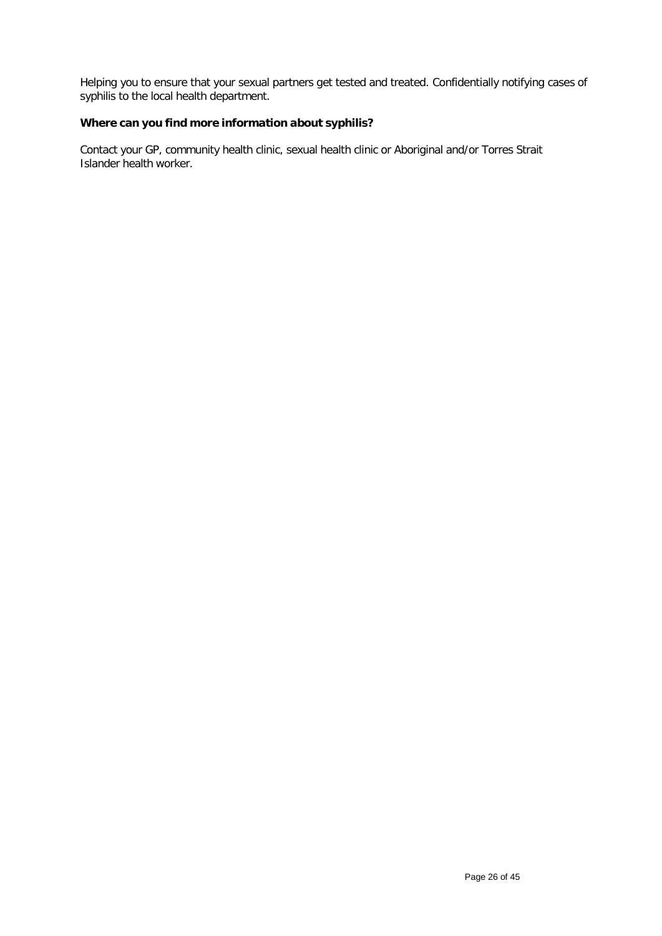Helping you to ensure that your sexual partners get tested and treated. Confidentially notifying cases of syphilis to the local health department.

### **Where can you find more information about syphilis?**

Contact your GP, community health clinic, sexual health clinic or Aboriginal and/or Torres Strait Islander health worker.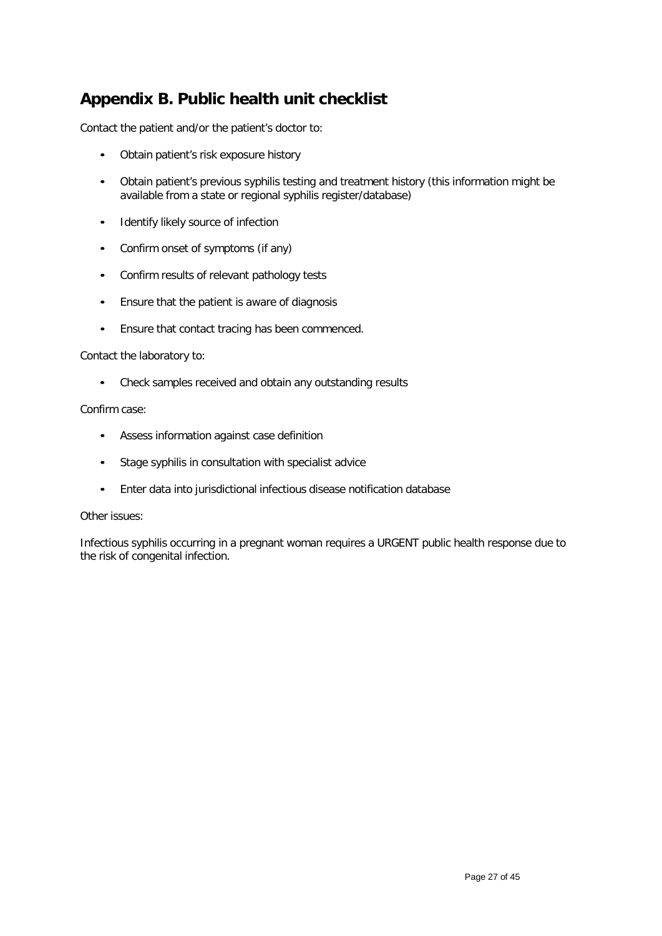# <span id="page-26-0"></span>**Appendix B. Public health unit checklist**

Contact the patient and/or the patient's doctor to:

- Obtain patient's risk exposure history
- Obtain patient's previous syphilis testing and treatment history (this information might be available from a state or regional syphilis register/database)
- Identify likely source of infection
- Confirm onset of symptoms (if any)
- Confirm results of relevant pathology tests
- Ensure that the patient is aware of diagnosis
- Ensure that contact tracing has been commenced.

#### Contact the laboratory to:

• Check samples received and obtain any outstanding results

#### Confirm case:

- Assess information against case definition
- Stage syphilis in consultation with specialist advice
- Enter data into jurisdictional infectious disease notification database

#### Other issues:

Infectious syphilis occurring in a pregnant woman requires a URGENT public health response due to the risk of congenital infection.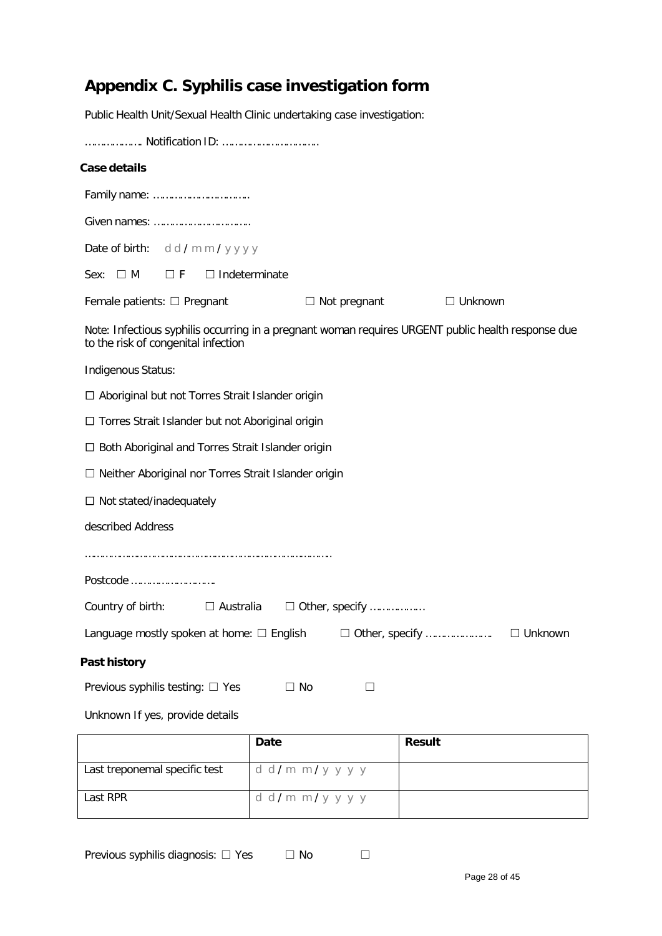# <span id="page-27-0"></span>**Appendix C. Syphilis case investigation form**

Public Health Unit/Sexual Health Clinic undertaking case investigation:

| Case details                                                                                                                              |                       |                |
|-------------------------------------------------------------------------------------------------------------------------------------------|-----------------------|----------------|
|                                                                                                                                           |                       |                |
| Given names:                                                                                                                              |                       |                |
| Date of birth:<br>dd/mm/yyyy                                                                                                              |                       |                |
| $\Box F$<br>$\Box$ Indeterminate<br>Sex: $\Box$ M                                                                                         |                       |                |
| Female patients: $\Box$ Pregnant                                                                                                          | $\Box$ Not pregnant   | $\Box$ Unknown |
| Note: Infectious syphilis occurring in a pregnant woman requires URGENT public health response due<br>to the risk of congenital infection |                       |                |
| Indigenous Status:                                                                                                                        |                       |                |
| □ Aboriginal but not Torres Strait Islander origin                                                                                        |                       |                |
| □ Torres Strait Islander but not Aboriginal origin                                                                                        |                       |                |
| □ Both Aboriginal and Torres Strait Islander origin                                                                                       |                       |                |
| □ Neither Aboriginal nor Torres Strait Islander origin                                                                                    |                       |                |
| $\Box$ Not stated/inadequately                                                                                                            |                       |                |
| described Address                                                                                                                         |                       |                |
|                                                                                                                                           |                       |                |
| Postcode                                                                                                                                  |                       |                |
| Country of birth:<br>$\Box$ Australia                                                                                                     | $\Box$ Other, specify |                |
| Language mostly spoken at home: $\Box$ English                                                                                            |                       | $\Box$ Unknown |
| Past history                                                                                                                              |                       |                |
| Previous syphilis testing: $\square$ Yes                                                                                                  | $\Box$ No<br>$\Box$   |                |

Unknown If yes, provide details

|                               | Date            | <b>Result</b> |
|-------------------------------|-----------------|---------------|
| Last treponemal specific test | d d/m m/y y y y |               |
| Last RPR                      | d d/m m/y y y y |               |

Previous syphilis diagnosis: □ Yes □ No □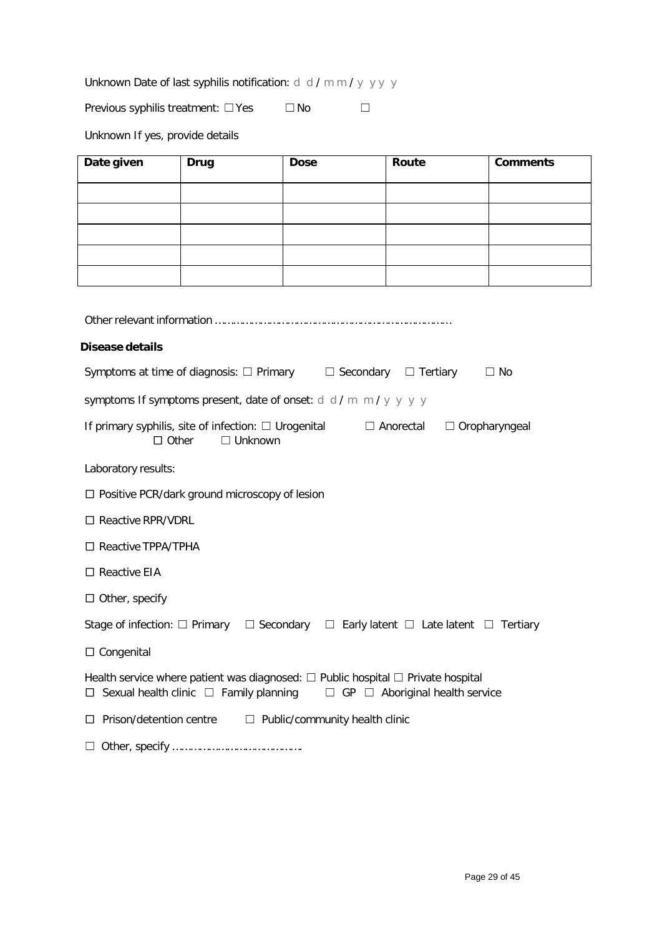Unknown Date of last syphilis notification: d d / m m / y y y y

Previous syphilis treatment: □ Yes □No □

Unknown If yes, provide details

| Date given                                                                                                                                                                                     | Drug                                                                        | <b>Dose</b>                           | Route                                    | <b>Comments</b> |  |
|------------------------------------------------------------------------------------------------------------------------------------------------------------------------------------------------|-----------------------------------------------------------------------------|---------------------------------------|------------------------------------------|-----------------|--|
|                                                                                                                                                                                                |                                                                             |                                       |                                          |                 |  |
|                                                                                                                                                                                                |                                                                             |                                       |                                          |                 |  |
|                                                                                                                                                                                                |                                                                             |                                       |                                          |                 |  |
|                                                                                                                                                                                                |                                                                             |                                       |                                          |                 |  |
|                                                                                                                                                                                                |                                                                             |                                       |                                          |                 |  |
|                                                                                                                                                                                                |                                                                             |                                       |                                          |                 |  |
| <b>Disease details</b>                                                                                                                                                                         |                                                                             |                                       |                                          |                 |  |
|                                                                                                                                                                                                | Symptoms at time of diagnosis: □ Primary                                    | □ Secondary                           | $\Box$ Tertiary                          | $\Box$ No       |  |
|                                                                                                                                                                                                | symptoms If symptoms present, date of onset: $d/d/m$ m/y y y y              |                                       |                                          |                 |  |
| $\Box$ Other                                                                                                                                                                                   | If primary syphilis, site of infection: $\Box$ Urogenital<br>$\Box$ Unknown |                                       | $\Box$ Oropharyngeal<br>$\Box$ Anorectal |                 |  |
| Laboratory results:                                                                                                                                                                            |                                                                             |                                       |                                          |                 |  |
|                                                                                                                                                                                                | $\Box$ Positive PCR/dark ground microscopy of lesion                        |                                       |                                          |                 |  |
| □ Reactive RPR/VDRL                                                                                                                                                                            |                                                                             |                                       |                                          |                 |  |
| □ Reactive TPPA/TPHA                                                                                                                                                                           |                                                                             |                                       |                                          |                 |  |
| □ Reactive EIA                                                                                                                                                                                 |                                                                             |                                       |                                          |                 |  |
| $\Box$ Other, specify                                                                                                                                                                          |                                                                             |                                       |                                          |                 |  |
| Stage of infection: $\Box$ Primary<br>$\Box$ Secondary<br>$\Box$ Early latent $\Box$ Late latent $\Box$ Tertiary                                                                               |                                                                             |                                       |                                          |                 |  |
| $\Box$ Congenital                                                                                                                                                                              |                                                                             |                                       |                                          |                 |  |
| Health service where patient was diagnosed: $\Box$ Public hospital $\Box$ Private hospital<br>$\Box$ Sexual health clinic $\Box$ Family planning<br>$\Box$ GP $\Box$ Aboriginal health service |                                                                             |                                       |                                          |                 |  |
| Prison/detention centre<br>⊔                                                                                                                                                                   |                                                                             | $\Box$ Public/community health clinic |                                          |                 |  |
|                                                                                                                                                                                                |                                                                             |                                       |                                          |                 |  |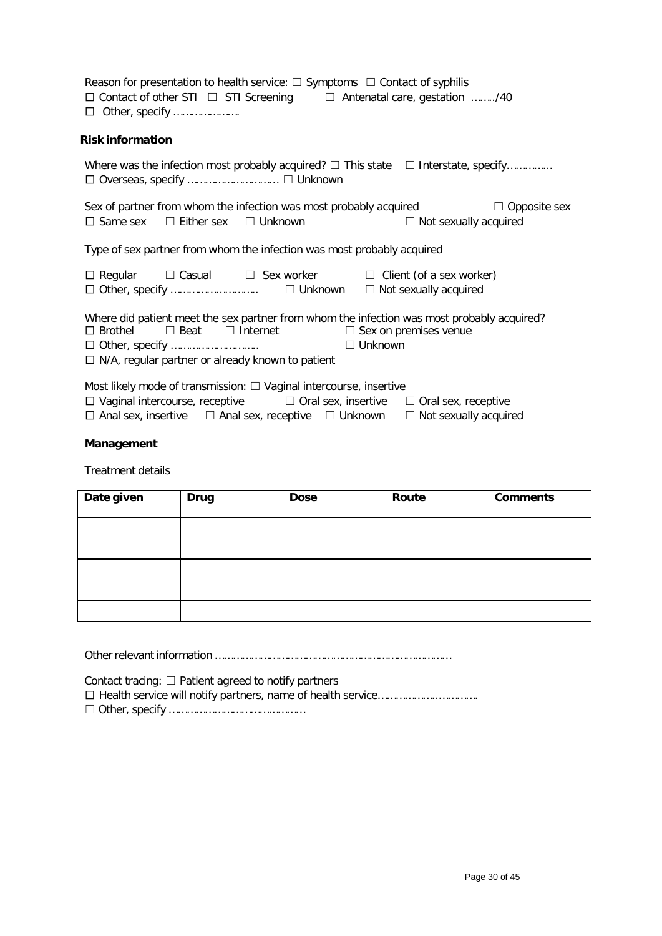Reason for presentation to health service:  $\Box$  Symptoms  $\Box$  Contact of syphilis □ Contact of other STI ☐ STI Screening ☐ Antenatal care, gestation ……../40 □ Other, specify ……………………

#### **Risk information**

Where was the infection most probably acquired?  $\Box$  This state  $\Box$  Interstate, specify………….. □ Overseas, specify ………………………… ☐ Unknown Sex of partner from whom the infection was most probably acquired  $□$  Opposite sex □ Same sex ☐ Either sex ☐ Unknown ☐ Not sexually acquired Type of sex partner from whom the infection was most probably acquired □ Regular ☐ Casual ☐ Sex worker ☐ Client (of a sex worker) □ Other, specify ……………………….. ☐ Unknown ☐ Not sexually acquired Where did patient meet the sex partner from whom the infection was most probably acquired? □ Brothel ☐ Beat ☐ Internet ☐ Sex on premises venue □ Other, specify ……………………….. ☐ Unknown □ N/A, regular partner or already known to patient Most likely mode of transmission:  $\Box$  Vaginal intercourse, insertive  $\Box$  Vaginal intercourse, receptive  $\Box$  Oral sex, insertive  $\Box$  Oral sex, receptive

□ Anal sex, insertive ☐ Anal sex, receptive ☐ Unknown ☐ Not sexually acquired

#### <span id="page-29-0"></span>**Management**

Treatment details

| Date given | <b>Drug</b> | <b>Dose</b> | Route | <b>Comments</b> |
|------------|-------------|-------------|-------|-----------------|
|            |             |             |       |                 |
|            |             |             |       |                 |
|            |             |             |       |                 |
|            |             |             |       |                 |
|            |             |             |       |                 |
|            |             |             |       |                 |

Other relevant information ……………………………………………………………………

Contact tracing:  $\Box$  Patient agreed to notify partners

□ Health service will notify partners, name of health service………………..………….

☐ Other, specify ………………………………………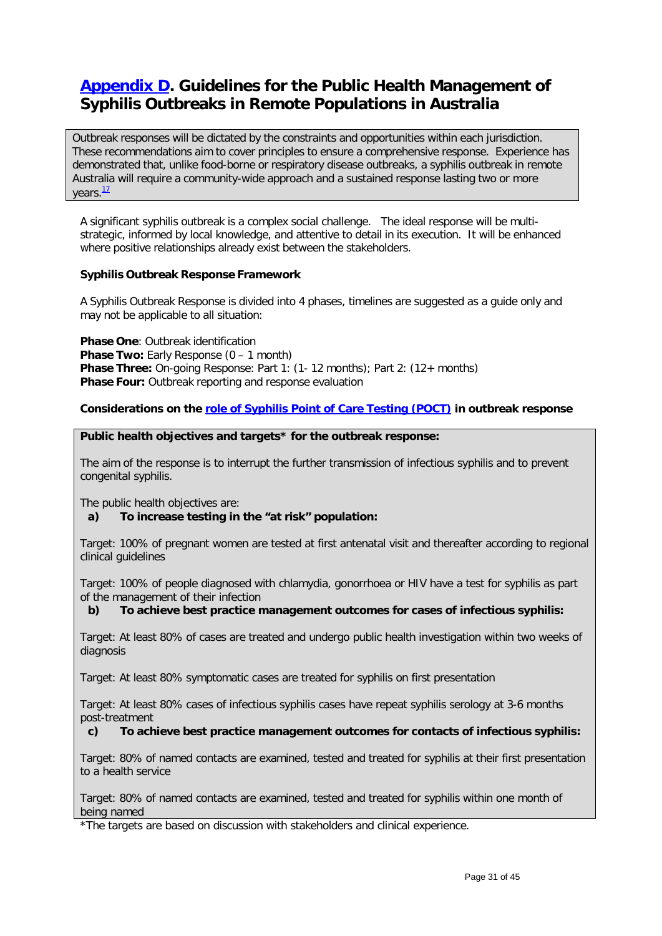# <span id="page-30-0"></span>**[Appendix D.](#page-0-0) Guidelines for the Public Health Management of Syphilis Outbreaks in Remote Populations in Australia**

Outbreak responses will be dictated by the constraints and opportunities within each jurisdiction. These recommendations aim to cover principles to ensure a comprehensive response. Experience has demonstrated that, unlike food-borne or respiratory disease outbreaks, a syphilis outbreak in remote Australia will require a community-wide approach and a sustained response lasting two or more years.<sup>[17](#page-21-7)</sup>

A significant syphilis outbreak is a complex social challenge. The ideal response will be multistrategic, informed by local knowledge, and attentive to detail in its execution. It will be enhanced where positive relationships already exist between the stakeholders.

#### **Syphilis Outbreak Response Framework**

A Syphilis Outbreak Response is divided into 4 phases, timelines are suggested as a guide only and may not be applicable to all situation:

**Phase One**: Outbreak identification **Phase Two:** Early Response (0 – 1 month) **Phase Three:** On-going Response: Part 1: (1- 12 months); Part 2: (12+ months) **Phase Four:** Outbreak reporting and response evaluation

<span id="page-30-2"></span><span id="page-30-1"></span>**Considerations on the [role of Syphilis Point of Care](#page-41-1) Testing (POCT) in outbreak response**

#### **Public health objectives and targets\* for the outbreak response:**

The aim of the response is to interrupt the further transmission of infectious syphilis and to prevent congenital syphilis.

The public health objectives are:

#### **a) To increase testing in the "at risk" population:**

Target: 100% of pregnant women are tested at first antenatal visit and thereafter according to regional clinical guidelines

Target: 100% of people diagnosed with chlamydia, gonorrhoea or HIV have a test for syphilis as part of the management of their infection

**b) To achieve best practice management outcomes for cases of infectious syphilis:**

Target: At least 80% of cases are treated and undergo public health investigation within two weeks of diagnosis

Target: At least 80% symptomatic cases are treated for syphilis on first presentation

Target: At least 80% cases of infectious syphilis cases have repeat syphilis serology at 3-6 months post-treatment

**c) To achieve best practice management outcomes for contacts of infectious syphilis:**

Target: 80% of named contacts are examined, tested and treated for syphilis at their first presentation to a health service

Target: 80% of named contacts are examined, tested and treated for syphilis within one month of being named

\*The targets are based on discussion with stakeholders and clinical experience.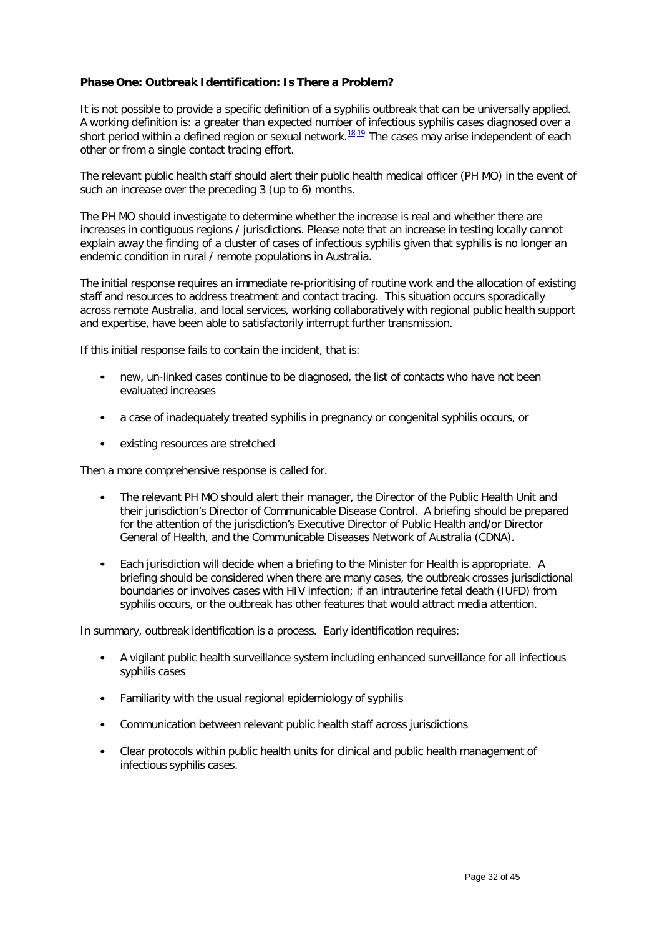#### <span id="page-31-0"></span>**Phase One: Outbreak Identification: Is There a Problem?**

It is not possible to provide a specific definition of a syphilis outbreak that can be universally applied. A working definition is: a greater than expected number of infectious syphilis cases diagnosed over a short period within a defined region or sexual network. $18,19$  $18,19$  The cases may arise independent of each other or from a single contact tracing effort.

The relevant public health staff should alert their public health medical officer (PH MO) in the event of such an increase over the preceding 3 (up to 6) months.

The PH MO should investigate to determine whether the increase is real and whether there are increases in contiguous regions / jurisdictions. Please note that an increase in testing locally cannot explain away the finding of a cluster of cases of infectious syphilis given that syphilis is no longer an endemic condition in rural / remote populations in Australia.

The initial response requires an immediate re-prioritising of routine work and the allocation of existing staff and resources to address treatment and contact tracing. This situation occurs sporadically across remote Australia, and local services, working collaboratively with regional public health support and expertise, have been able to satisfactorily interrupt further transmission.

If this initial response fails to contain the incident, that is:

- new, un-linked cases continue to be diagnosed, the list of contacts who have not been evaluated increases
- a case of inadequately treated syphilis in pregnancy or congenital syphilis occurs, or
- existing resources are stretched

Then a more comprehensive response is called for.

- The relevant PH MO should alert their manager, the Director of the Public Health Unit and their jurisdiction's Director of Communicable Disease Control. A briefing should be prepared for the attention of the jurisdiction's Executive Director of Public Health and/or Director General of Health, and the Communicable Diseases Network of Australia (CDNA).
- Each jurisdiction will decide when a briefing to the Minister for Health is appropriate. A briefing should be considered when there are many cases, the outbreak crosses jurisdictional boundaries or involves cases with HIV infection; if an intrauterine fetal death (IUFD) from syphilis occurs, or the outbreak has other features that would attract media attention.

In summary, outbreak identification is a process. Early identification requires:

- A vigilant public health surveillance system including enhanced surveillance for all infectious syphilis cases
- Familiarity with the usual regional epidemiology of syphilis
- Communication between relevant public health staff across jurisdictions
- Clear protocols within public health units for clinical and public health management of infectious syphilis cases.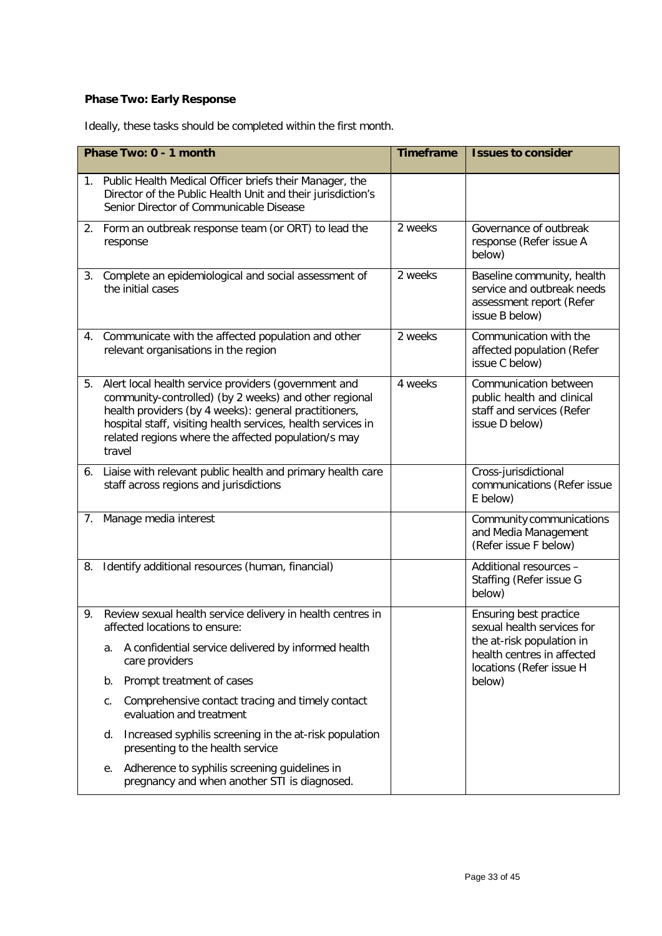# <span id="page-32-0"></span>**Phase Two: Early Response**

Ideally, these tasks should be completed within the first month.

|                                                        |                   | Phase Two: 0 - 1 month                                                                                                                                                                                                                                                                        | <b>Timeframe</b>                                            | <b>Issues to consider</b>                                                                              |
|--------------------------------------------------------|-------------------|-----------------------------------------------------------------------------------------------------------------------------------------------------------------------------------------------------------------------------------------------------------------------------------------------|-------------------------------------------------------------|--------------------------------------------------------------------------------------------------------|
|                                                        |                   | 1. Public Health Medical Officer briefs their Manager, the<br>Director of the Public Health Unit and their jurisdiction's<br>Senior Director of Communicable Disease                                                                                                                          |                                                             |                                                                                                        |
|                                                        | response          | 2. Form an outbreak response team (or ORT) to lead the                                                                                                                                                                                                                                        | 2 weeks                                                     | Governance of outbreak<br>response (Refer issue A<br>below)                                            |
|                                                        | the initial cases | 3. Complete an epidemiological and social assessment of                                                                                                                                                                                                                                       | 2 weeks                                                     | Baseline community, health<br>service and outbreak needs<br>assessment report (Refer<br>issue B below) |
|                                                        |                   | 4. Communicate with the affected population and other<br>relevant organisations in the region                                                                                                                                                                                                 | 2 weeks                                                     | Communication with the<br>affected population (Refer<br>issue C below)                                 |
| 5.                                                     | travel            | Alert local health service providers (government and<br>community-controlled) (by 2 weeks) and other regional<br>health providers (by 4 weeks): general practitioners,<br>hospital staff, visiting health services, health services in<br>related regions where the affected population/s may | 4 weeks                                                     | Communication between<br>public health and clinical<br>staff and services (Refer<br>issue D below)     |
| 6.                                                     |                   | Liaise with relevant public health and primary health care<br>staff across regions and jurisdictions                                                                                                                                                                                          |                                                             | Cross-jurisdictional<br>communications (Refer issue<br>E below)                                        |
| 7.                                                     |                   | Manage media interest                                                                                                                                                                                                                                                                         |                                                             | Community communications<br>and Media Management<br>(Refer issue F below)                              |
| Identify additional resources (human, financial)<br>8. |                   |                                                                                                                                                                                                                                                                                               | Additional resources -<br>Staffing (Refer issue G<br>below) |                                                                                                        |
| 9.                                                     |                   | Review sexual health service delivery in health centres in<br>affected locations to ensure:                                                                                                                                                                                                   |                                                             | Ensuring best practice<br>sexual health services for                                                   |
|                                                        | а.                | A confidential service delivered by informed health<br>care providers                                                                                                                                                                                                                         |                                                             | the at-risk population in<br>health centres in affected<br>locations (Refer issue H                    |
|                                                        | b.                | Prompt treatment of cases                                                                                                                                                                                                                                                                     |                                                             | below)                                                                                                 |
|                                                        | С.                | Comprehensive contact tracing and timely contact<br>evaluation and treatment                                                                                                                                                                                                                  |                                                             |                                                                                                        |
|                                                        | d.                | Increased syphilis screening in the at-risk population<br>presenting to the health service                                                                                                                                                                                                    |                                                             |                                                                                                        |
|                                                        | е.                | Adherence to syphilis screening guidelines in<br>pregnancy and when another STI is diagnosed.                                                                                                                                                                                                 |                                                             |                                                                                                        |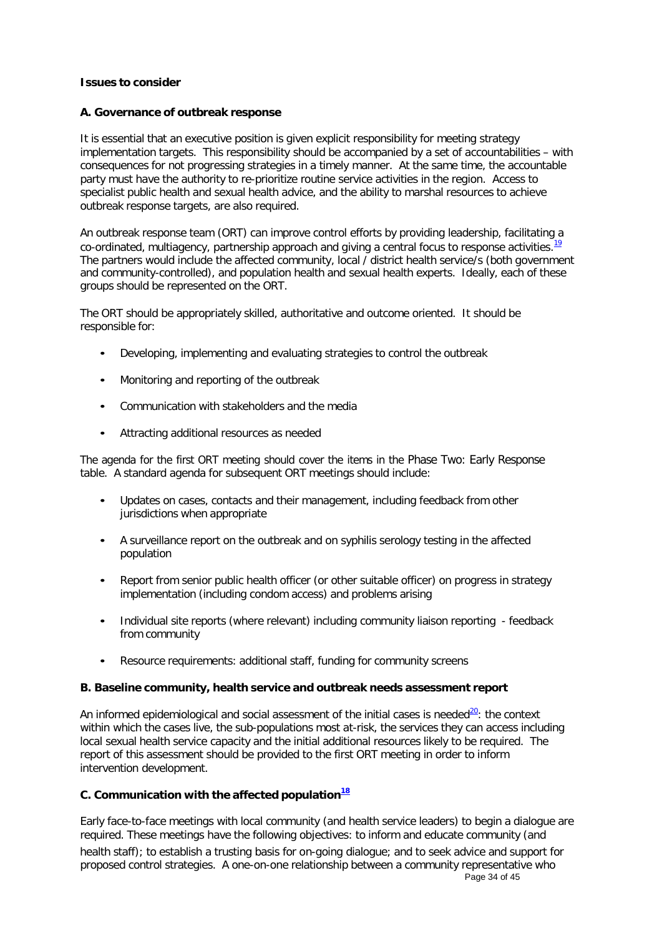#### **Issues to consider**

#### **A. Governance of outbreak response**

It is essential that an executive position is given explicit responsibility for meeting strategy implementation targets. This responsibility should be accompanied by a set of accountabilities – with consequences for not progressing strategies in a timely manner. At the same time, the accountable party must have the authority to re-prioritize routine service activities in the region. Access to specialist public health and sexual health advice, and the ability to marshal resources to achieve outbreak response targets, are also required.

An outbreak response team (ORT) can improve control efforts by providing leadership, facilitating a co-ordinated, multiagency, partnership approach and giving a central focus to response activities.<sup>[19](#page-21-9)</sup> The partners would include the affected community, local / district health service/s (both government and community-controlled), and population health and sexual health experts. Ideally, each of these groups should be represented on the ORT.

The ORT should be appropriately skilled, authoritative and outcome oriented. It should be responsible for:

- Developing, implementing and evaluating strategies to control the outbreak
- Monitoring and reporting of the outbreak
- Communication with stakeholders and the media
- Attracting additional resources as needed

The agenda for the first ORT meeting should cover the items in the Phase Two: Early Response table. A standard agenda for subsequent ORT meetings should include:

- Updates on cases, contacts and their management, including feedback from other jurisdictions when appropriate
- A surveillance report on the outbreak and on syphilis serology testing in the affected population
- Report from senior public health officer (or other suitable officer) on progress in strategy implementation (including condom access) and problems arising
- Individual site reports (where relevant) including community liaison reporting feedback from community
- Resource requirements: additional staff, funding for community screens

#### **B. Baseline community, health service and outbreak needs assessment report**

An informed epidemiological and social assessment of the initial cases is needed<sup>20</sup>: the context within which the cases live, the sub-populations most at-risk, the services they can access including local sexual health service capacity and the initial additional resources likely to be required. The report of this assessment should be provided to the first ORT meeting in order to inform intervention development.

#### **C. Communication with the affected population[18](#page-21-8)**

Page 34 of 45 Early face-to-face meetings with local community (and health service leaders) to begin a dialogue are required. These meetings have the following objectives: to inform and educate community (and health staff); to establish a trusting basis for on-going dialogue; and to seek advice and support for proposed control strategies. A one-on-one relationship between a community representative who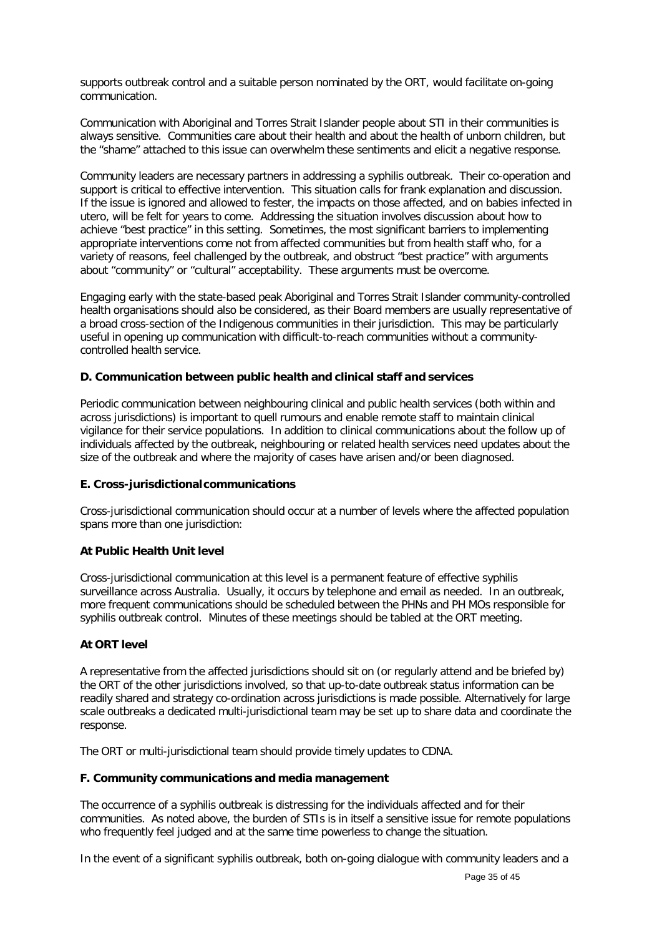supports outbreak control and a suitable person nominated by the ORT, would facilitate on-going communication.

Communication with Aboriginal and Torres Strait Islander people about STI in their communities is always sensitive. Communities care about their health and about the health of unborn children, but the "shame" attached to this issue can overwhelm these sentiments and elicit a negative response.

Community leaders are necessary partners in addressing a syphilis outbreak. Their co-operation and support is critical to effective intervention. This situation calls for frank explanation and discussion. If the issue is ignored and allowed to fester, the impacts on those affected, and on babies infected in utero, will be felt for years to come. Addressing the situation involves discussion about how to achieve "best practice" in this setting. Sometimes, the most significant barriers to implementing appropriate interventions come not from affected communities but from health staff who, for a variety of reasons, feel challenged by the outbreak, and obstruct "best practice" with arguments about "community" or "cultural" acceptability. These arguments must be overcome.

Engaging early with the state-based peak Aboriginal and Torres Strait Islander community-controlled health organisations should also be considered, as their Board members are usually representative of a broad cross-section of the Indigenous communities in their jurisdiction. This may be particularly useful in opening up communication with difficult-to-reach communities without a communitycontrolled health service.

### **D. Communication between public health and clinical staff and services**

Periodic communication between neighbouring clinical and public health services (both within and across jurisdictions) is important to quell rumours and enable remote staff to maintain clinical vigilance for their service populations. In addition to clinical communications about the follow up of individuals affected by the outbreak, neighbouring or related health services need updates about the size of the outbreak and where the majority of cases have arisen and/or been diagnosed.

#### **E. Cross-jurisdictionalcommunications**

Cross-jurisdictional communication should occur at a number of levels where the affected population spans more than one jurisdiction:

#### **At Public Health Unit level**

Cross-jurisdictional communication at this level is a permanent feature of effective syphilis surveillance across Australia. Usually, it occurs by telephone and email as needed. In an outbreak, more frequent communications should be scheduled between the PHNs and PH MOs responsible for syphilis outbreak control. Minutes of these meetings should be tabled at the ORT meeting.

#### **At ORT level**

A representative from the affected jurisdictions should sit on (or regularly attend and be briefed by) the ORT of the other jurisdictions involved, so that up-to-date outbreak status information can be readily shared and strategy co-ordination across jurisdictions is made possible. Alternatively for large scale outbreaks a dedicated multi-jurisdictional team may be set up to share data and coordinate the response.

The ORT or multi-jurisdictional team should provide timely updates to CDNA.

#### **F. Community communications and media management**

The occurrence of a syphilis outbreak is distressing for the individuals affected and for their communities. As noted above, the burden of STIs is in itself a sensitive issue for remote populations who frequently feel judged and at the same time powerless to change the situation.

In the event of a significant syphilis outbreak, both on-going dialogue with community leaders and a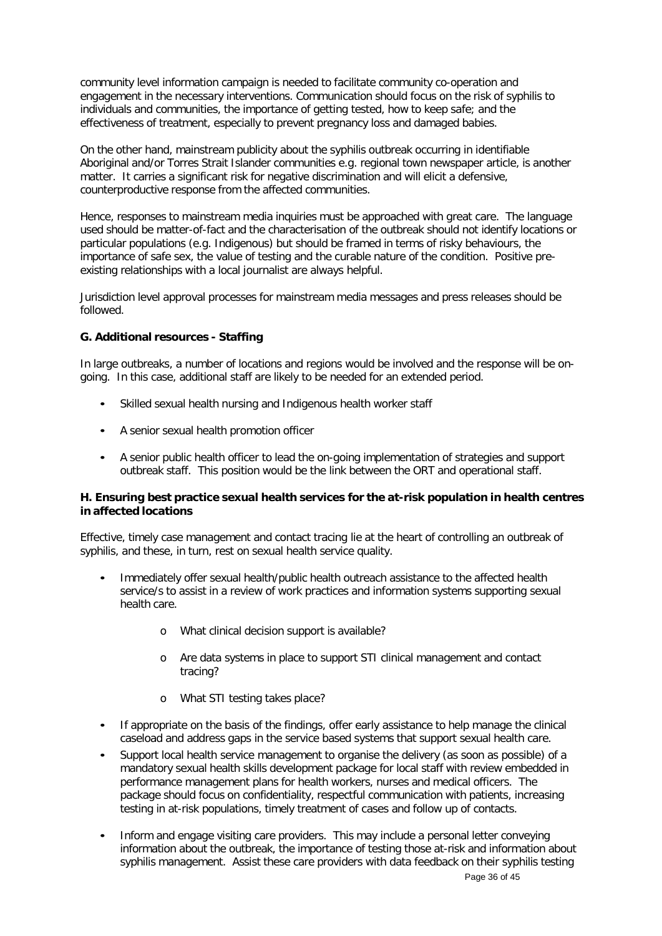community level information campaign is needed to facilitate community co-operation and engagement in the necessary interventions. Communication should focus on the risk of syphilis to individuals and communities, the importance of getting tested, how to keep safe; and the effectiveness of treatment, especially to prevent pregnancy loss and damaged babies.

On the other hand, mainstream publicity about the syphilis outbreak occurring in identifiable Aboriginal and/or Torres Strait Islander communities e.g. regional town newspaper article, is another matter. It carries a significant risk for negative discrimination and will elicit a defensive, counterproductive response from the affected communities.

Hence, responses to mainstream media inquiries must be approached with great care. The language used should be matter-of-fact and the characterisation of the outbreak should not identify locations or particular populations (e.g. Indigenous) but should be framed in terms of risky behaviours, the importance of safe sex, the value of testing and the curable nature of the condition. Positive preexisting relationships with a local journalist are always helpful.

Jurisdiction level approval processes for mainstream media messages and press releases should be followed.

#### **G. Additional resources - Staffing**

In large outbreaks, a number of locations and regions would be involved and the response will be ongoing. In this case, additional staff are likely to be needed for an extended period.

- Skilled sexual health nursing and Indigenous health worker staff
- A senior sexual health promotion officer
- A senior public health officer to lead the on-going implementation of strategies and support outbreak staff. This position would be the link between the ORT and operational staff.

#### **H. Ensuring best practice sexual health services for the at-risk population in health centres in affected locations**

Effective, timely case management and contact tracing lie at the heart of controlling an outbreak of syphilis, and these, in turn, rest on sexual health service quality.

- Immediately offer sexual health/public health outreach assistance to the affected health service/s to assist in a review of work practices and information systems supporting sexual health care.
	- o What clinical decision support is available?
	- o Are data systems in place to support STI clinical management and contact tracing?
	- o What STI testing takes place?
- If appropriate on the basis of the findings, offer early assistance to help manage the clinical caseload and address gaps in the service based systems that support sexual health care.
- Support local health service management to organise the delivery (as soon as possible) of a mandatory sexual health skills development package for local staff with review embedded in performance management plans for health workers, nurses and medical officers. The package should focus on confidentiality, respectful communication with patients, increasing testing in at-risk populations, timely treatment of cases and follow up of contacts.
- Inform and engage visiting care providers. This may include a personal letter conveying information about the outbreak, the importance of testing those at-risk and information about syphilis management. Assist these care providers with data feedback on their syphilis testing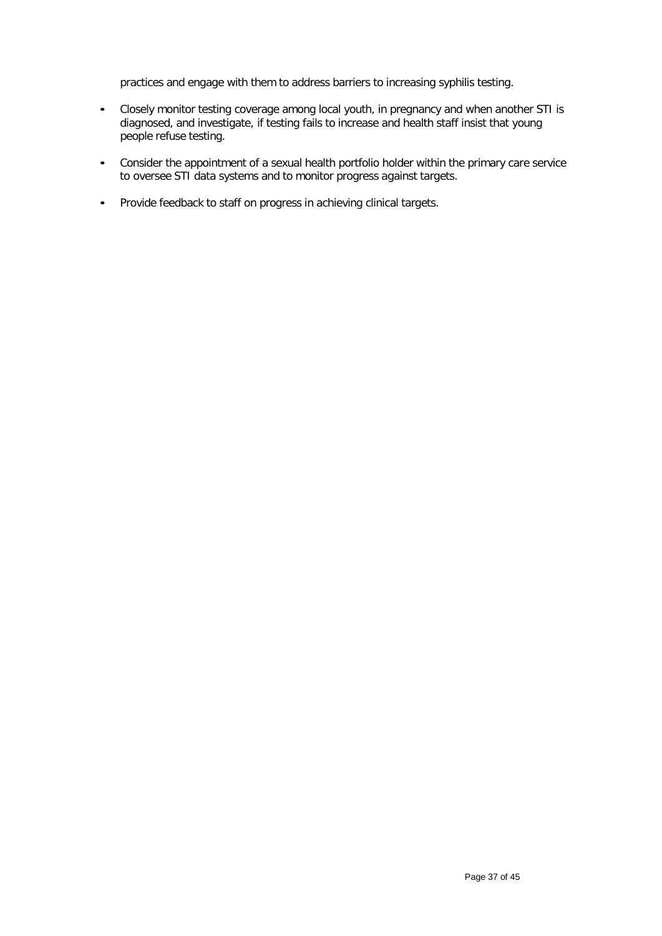practices and engage with them to address barriers to increasing syphilis testing.

- Closely monitor testing coverage among local youth, in pregnancy and when another STI is diagnosed, and investigate, if testing fails to increase and health staff insist that young people refuse testing.
- Consider the appointment of a sexual health portfolio holder within the primary care service to oversee STI data systems and to monitor progress against targets.
- Provide feedback to staff on progress in achieving clinical targets.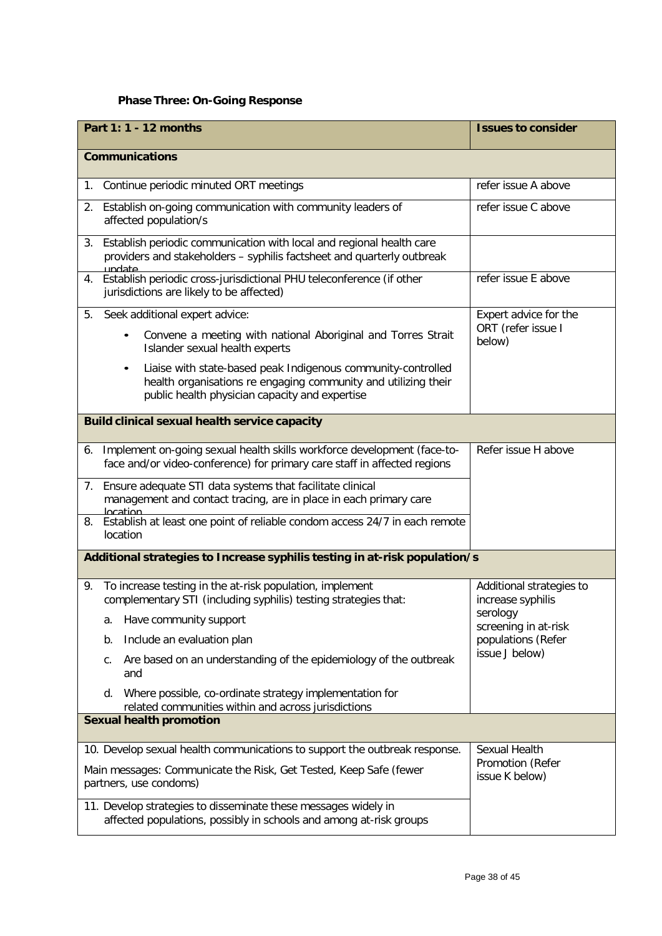# **Phase Three: On-Going Response**

<span id="page-37-0"></span>

|                                | Part 1: 1 - 12 months                                                                                                                                                            | <b>Issues to consider</b>                     |  |  |
|--------------------------------|----------------------------------------------------------------------------------------------------------------------------------------------------------------------------------|-----------------------------------------------|--|--|
|                                | <b>Communications</b>                                                                                                                                                            |                                               |  |  |
| $1_{\cdot}$                    | Continue periodic minuted ORT meetings                                                                                                                                           | refer issue A above                           |  |  |
|                                | 2. Establish on-going communication with community leaders of<br>affected population/s                                                                                           | refer issue C above                           |  |  |
| 3.                             | Establish periodic communication with local and regional health care<br>providers and stakeholders - syphilis factsheet and quarterly outbreak<br>undate                         |                                               |  |  |
|                                | 4. Establish periodic cross-jurisdictional PHU teleconference (if other<br>jurisdictions are likely to be affected)                                                              | refer issue E above                           |  |  |
| 5.                             | Seek additional expert advice:                                                                                                                                                   | Expert advice for the                         |  |  |
|                                | Convene a meeting with national Aboriginal and Torres Strait<br>Islander sexual health experts                                                                                   | ORT (refer issue I<br>below)                  |  |  |
|                                | Liaise with state-based peak Indigenous community-controlled<br>health organisations re engaging community and utilizing their<br>public health physician capacity and expertise |                                               |  |  |
|                                | <b>Build clinical sexual health service capacity</b>                                                                                                                             |                                               |  |  |
| 6.                             | Implement on-going sexual health skills workforce development (face-to-<br>face and/or video-conference) for primary care staff in affected regions                              | Refer issue H above                           |  |  |
|                                | 7. Ensure adequate STI data systems that facilitate clinical<br>management and contact tracing, are in place in each primary care<br><b>Incation</b>                             |                                               |  |  |
| 8.                             | Establish at least one point of reliable condom access 24/7 in each remote<br>location                                                                                           |                                               |  |  |
|                                | Additional strategies to Increase syphilis testing in at-risk population/s                                                                                                       |                                               |  |  |
| 9.                             | To increase testing in the at-risk population, implement<br>complementary STI (including syphilis) testing strategies that:                                                      | Additional strategies to<br>increase syphilis |  |  |
|                                | Have community support<br>a.                                                                                                                                                     | serology                                      |  |  |
|                                | Include an evaluation plan<br>b.                                                                                                                                                 | screening in at-risk<br>populations (Refer    |  |  |
|                                | Are based on an understanding of the epidemiology of the outbreak<br>С.<br>and                                                                                                   | issue J below)                                |  |  |
|                                | Where possible, co-ordinate strategy implementation for<br>d.<br>related communities within and across jurisdictions                                                             |                                               |  |  |
| <b>Sexual health promotion</b> |                                                                                                                                                                                  |                                               |  |  |
|                                | 10. Develop sexual health communications to support the outbreak response.                                                                                                       | <b>Sexual Health</b>                          |  |  |
|                                | Main messages: Communicate the Risk, Get Tested, Keep Safe (fewer<br>partners, use condoms)                                                                                      | Promotion (Refer<br>issue K below)            |  |  |
|                                | 11. Develop strategies to disseminate these messages widely in<br>affected populations, possibly in schools and among at-risk groups                                             |                                               |  |  |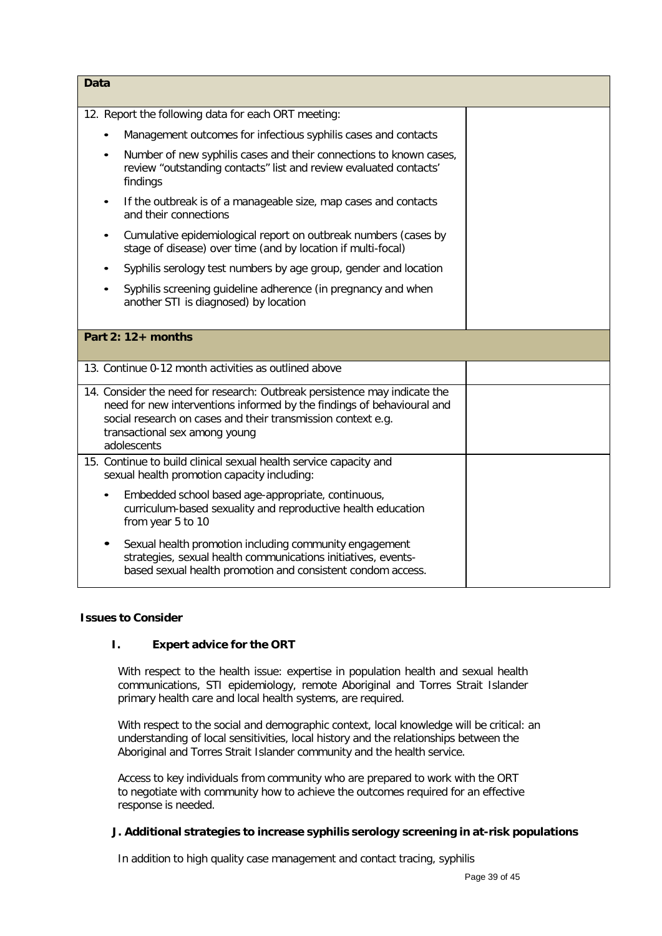| <b>Data</b>        |                                                                                                                                                                                                                                                                     |  |  |  |  |  |
|--------------------|---------------------------------------------------------------------------------------------------------------------------------------------------------------------------------------------------------------------------------------------------------------------|--|--|--|--|--|
|                    | 12. Report the following data for each ORT meeting:                                                                                                                                                                                                                 |  |  |  |  |  |
|                    | Management outcomes for infectious syphilis cases and contacts<br>$\bullet$                                                                                                                                                                                         |  |  |  |  |  |
| $\bullet$          | Number of new syphilis cases and their connections to known cases,<br>review "outstanding contacts" list and review evaluated contacts'<br>findings                                                                                                                 |  |  |  |  |  |
|                    | If the outbreak is of a manageable size, map cases and contacts<br>and their connections                                                                                                                                                                            |  |  |  |  |  |
| $\bullet$          | Cumulative epidemiological report on outbreak numbers (cases by<br>stage of disease) over time (and by location if multi-focal)                                                                                                                                     |  |  |  |  |  |
| $\bullet$          | Syphilis serology test numbers by age group, gender and location                                                                                                                                                                                                    |  |  |  |  |  |
|                    | Syphilis screening guideline adherence (in pregnancy and when<br>another STI is diagnosed) by location                                                                                                                                                              |  |  |  |  |  |
| Part 2: 12+ months |                                                                                                                                                                                                                                                                     |  |  |  |  |  |
|                    | 13. Continue 0-12 month activities as outlined above                                                                                                                                                                                                                |  |  |  |  |  |
|                    | 14. Consider the need for research: Outbreak persistence may indicate the<br>need for new interventions informed by the findings of behavioural and<br>social research on cases and their transmission context e.g.<br>transactional sex among young<br>adolescents |  |  |  |  |  |
|                    | 15. Continue to build clinical sexual health service capacity and<br>sexual health promotion capacity including:                                                                                                                                                    |  |  |  |  |  |
|                    | Embedded school based age-appropriate, continuous,<br>$\bullet$<br>curriculum-based sexuality and reproductive health education<br>from year 5 to 10                                                                                                                |  |  |  |  |  |
|                    | Sexual health promotion including community engagement<br>$\bullet$<br>strategies, sexual health communications initiatives, events-<br>based sexual health promotion and consistent condom access.                                                                 |  |  |  |  |  |

#### **Issues to Consider**

## **I. Expert advice for the ORT**

With respect to the health issue: expertise in population health and sexual health communications, STI epidemiology, remote Aboriginal and Torres Strait Islander primary health care and local health systems, are required.

With respect to the social and demographic context, local knowledge will be critical: an understanding of local sensitivities, local history and the relationships between the Aboriginal and Torres Strait Islander community and the health service.

Access to key individuals from community who are prepared to work with the ORT to negotiate with community how to achieve the outcomes required for an effective response is needed.

# **J. Additional strategies to increase syphilis serology screening in at-risk populations**

In addition to high quality case management and contact tracing, syphilis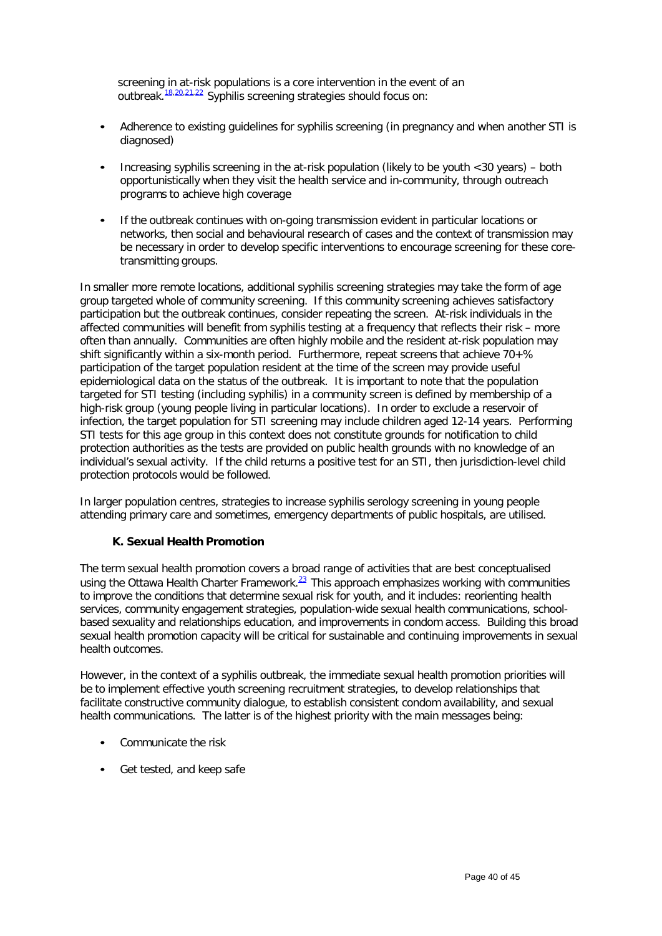screening in at-risk populations is a core intervention in the event of an outbreak.<sup>[18](#page-21-8)[,20,](#page-21-10)[21,](#page-21-11)22</sup> Syphilis screening strategies should focus on:

- Adherence to existing guidelines for syphilis screening (in pregnancy and when another STI is diagnosed)
- Increasing syphilis screening in the at-risk population (likely to be youth <30 years) both opportunistically when they visit the health service and in-community, through outreach programs to achieve high coverage
- If the outbreak continues with on-going transmission evident in particular locations or networks, then social and behavioural research of cases and the context of transmission may be necessary in order to develop specific interventions to encourage screening for these coretransmitting groups.

In smaller more remote locations, additional syphilis screening strategies may take the form of age group targeted whole of community screening. If this community screening achieves satisfactory participation but the outbreak continues, consider repeating the screen. At-risk individuals in the affected communities will benefit from syphilis testing at a frequency that reflects their risk – more often than annually. Communities are often highly mobile and the resident at-risk population may shift significantly within a six-month period. Furthermore, repeat screens that achieve  $70+%$ participation of the target population resident at the time of the screen may provide useful epidemiological data on the status of the outbreak. It is important to note that the population targeted for STI testing (including syphilis) in a community screen is defined by membership of a high-risk group (young people living in particular locations). In order to exclude a reservoir of infection, the target population for STI screening may include children aged 12-14 years. Performing STI tests for this age group in this context does not constitute grounds for notification to child protection authorities as the tests are provided on public health grounds with no knowledge of an individual's sexual activity. If the child returns a positive test for an STI, then jurisdiction-level child protection protocols would be followed.

In larger population centres, strategies to increase syphilis serology screening in young people attending primary care and sometimes, emergency departments of public hospitals, are utilised.

#### **K. Sexual Health Promotion**

The term sexual health promotion covers a broad range of activities that are best conceptualised using the Ottawa Health Charter Framework. $^{23}$  This approach emphasizes working with communities to improve the conditions that determine sexual risk for youth, and it includes: reorienting health services, community engagement strategies, population-wide sexual health communications, schoolbased sexuality and relationships education, and improvements in condom access. Building this broad sexual health promotion capacity will be critical for sustainable and continuing improvements in sexual health outcomes.

However, in the context of a syphilis outbreak, the immediate sexual health promotion priorities will be to implement effective youth screening recruitment strategies, to develop relationships that facilitate constructive community dialogue, to establish consistent condom availability, and sexual health communications. The latter is of the highest priority with the main messages being:

- Communicate the risk
- Get tested, and keep safe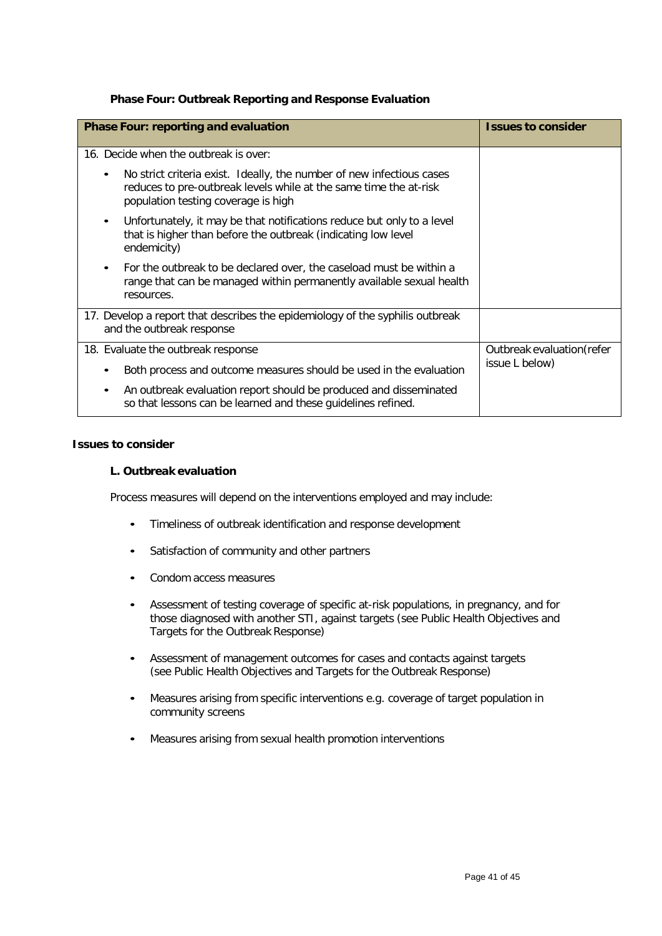|  | <b>Phase Four: Outbreak Reporting and Response Evaluation</b> |  |
|--|---------------------------------------------------------------|--|
|  |                                                               |  |

<span id="page-40-0"></span>

| <b>Phase Four: reporting and evaluation</b>                                                                                                                                       | <b>Issues to consider</b>  |
|-----------------------------------------------------------------------------------------------------------------------------------------------------------------------------------|----------------------------|
| 16. Decide when the outbreak is over:                                                                                                                                             |                            |
| No strict criteria exist. Ideally, the number of new infectious cases<br>reduces to pre-outbreak levels while at the same time the at-risk<br>population testing coverage is high |                            |
| Unfortunately, it may be that notifications reduce but only to a level<br>that is higher than before the outbreak (indicating low level<br>endemicity)                            |                            |
| For the outbreak to be declared over, the caseload must be within a<br>range that can be managed within permanently available sexual health<br>resources.                         |                            |
| 17. Develop a report that describes the epidemiology of the syphilis outbreak<br>and the outbreak response                                                                        |                            |
| 18. Evaluate the outbreak response                                                                                                                                                | Outbreak evaluation (refer |
| Both process and outcome measures should be used in the evaluation                                                                                                                | issue L below)             |
| An outbreak evaluation report should be produced and disseminated<br>so that lessons can be learned and these guidelines refined.                                                 |                            |

### **Issues to consider**

#### **L. Outbreak evaluation**

Process measures will depend on the interventions employed and may include:

- Timeliness of outbreak identification and response development
- Satisfaction of community and other partners
- Condom access measures
- Assessment of testing coverage of specific at-risk populations, in pregnancy, and for those diagnosed with another STI, against targets (see Public Health Objectives and Targets for the Outbreak Response)
- Assessment of management outcomes for cases and contacts against targets (see Public Health Objectives and Targets for the Outbreak Response)
- Measures arising from specific interventions e.g. coverage of target population in community screens
- Measures arising from sexual health promotion interventions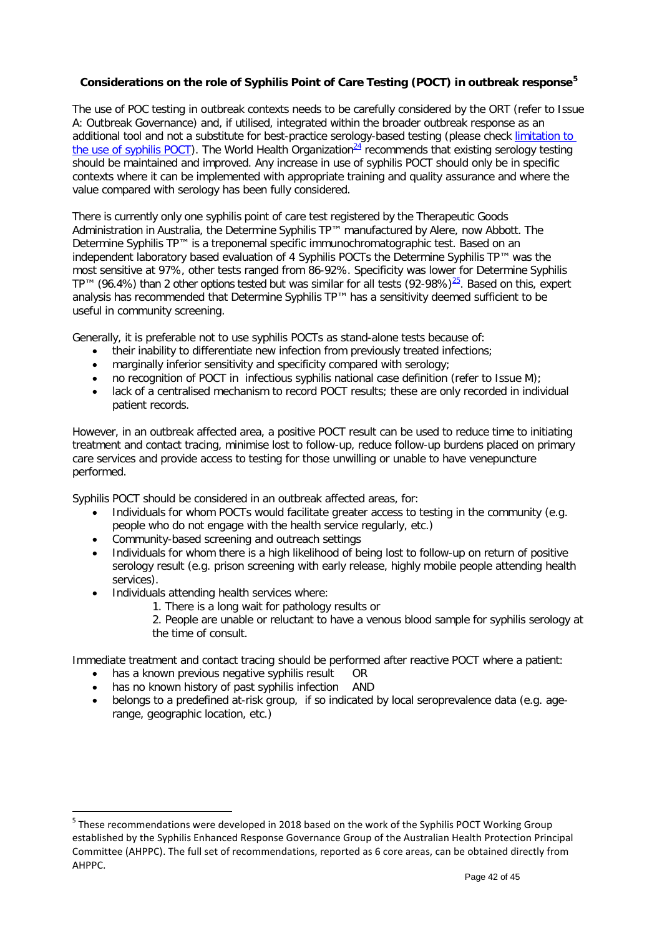### <span id="page-41-1"></span><span id="page-41-0"></span>**Considerations on the role of Syphilis Point of Care Testing (POCT) in outbreak response[5](#page-41-2)**

The use of POC testing in outbreak contexts needs to be carefully considered by the ORT (refer to Issue A: Outbreak Governance) and, if utilised, integrated within the broader outbreak response as an additional tool and not a substitute for best-practice serology-based testing (please check limitation to [the use of syphilis POCT\)](#page-30-2). The World Health Organization $^{24}$  recommends that existing serology testing should be maintained and improved. Any increase in use of syphilis POCT should only be in specific contexts where it can be implemented with appropriate training and quality assurance and where the value compared with serology has been fully considered.

There is currently only one syphilis point of care test registered by the Therapeutic Goods Administration in Australia, the Determine Syphilis TP™ manufactured by Alere, now Abbott. The Determine Syphilis TP™ is a treponemal specific immunochromatographic test. Based on an independent laboratory based evaluation of 4 Syphilis POCTs the Determine Syphilis TP™ was the most sensitive at 97%, other tests ranged from 86-92%. Specificity was lower for Determine Syphilis TP™ (96.4%) than 2 other options tested but was similar for all tests (92-98%)<sup>25</sup>. Based on this, expert analysis has recommended that Determine Syphilis TP™ has a sensitivity deemed sufficient to be useful in community screening.

Generally, it is preferable not to use syphilis POCTs as stand-alone tests because of:

- their inability to differentiate new infection from previously treated infections;
- marginally inferior sensitivity and specificity compared with serology;
- no recognition of POCT in infectious syphilis national case definition (refer to Issue M);
- lack of a centralised mechanism to record POCT results; these are only recorded in individual patient records.

However, in an outbreak affected area, a positive POCT result can be used to reduce time to initiating treatment and contact tracing, minimise lost to follow-up, reduce follow-up burdens placed on primary care services and provide access to testing for those unwilling or unable to have venepuncture performed.

Syphilis POCT should be considered in an outbreak affected areas, for:

- Individuals for whom POCTs would facilitate greater access to testing in the community (e.g. people who do not engage with the health service regularly, etc.)
- Community-based screening and outreach settings
- Individuals for whom there is a high likelihood of being lost to follow-up on return of positive serology result (e.g. prison screening with early release, highly mobile people attending health services).
- Individuals attending health services where:
	- 1. There is a long wait for pathology results or
	- 2. People are unable or reluctant to have a venous blood sample for syphilis serology at the time of consult.

Immediate treatment and contact tracing should be performed after reactive POCT where a patient:

- has a known previous negative syphilis result OR
- has no known history of past syphilis infection AND
- belongs to a predefined at-risk group, if so indicated by local seroprevalence data (e.g. agerange, geographic location, etc.)

<span id="page-41-2"></span><sup>&</sup>lt;sup>5</sup> These recommendations were developed in 2018 based on the work of the Syphilis POCT Working Group established by the Syphilis Enhanced Response Governance Group of the Australian Health Protection Principal Committee (AHPPC). The full set of recommendations, reported as 6 core areas, can be obtained directly from AHPPC.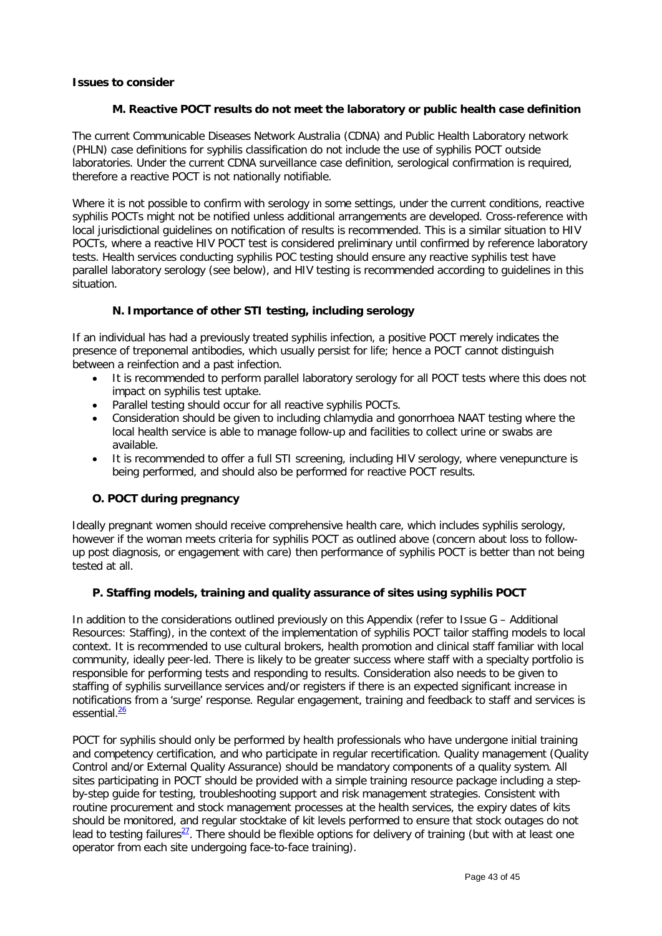#### **Issues to consider**

#### **M. Reactive POCT results do not meet the laboratory or public health case definition**

The current Communicable Diseases Network Australia (CDNA) and Public Health Laboratory network (PHLN) case definitions for syphilis classification do not include the use of syphilis POCT outside laboratories. Under the current CDNA surveillance case definition, serological confirmation is required, therefore a reactive POCT is not nationally notifiable.

Where it is not possible to confirm with serology in some settings, under the current conditions, reactive syphilis POCTs might not be notified unless additional arrangements are developed. Cross-reference with local jurisdictional guidelines on notification of results is recommended. This is a similar situation to HIV POCTs, where a reactive HIV POCT test is considered preliminary until confirmed by reference laboratory tests. Health services conducting syphilis POC testing should ensure any reactive syphilis test have parallel laboratory serology (see below), and HIV testing is recommended according to guidelines in this situation.

#### **N. Importance of other STI testing, including serology**

If an individual has had a previously treated syphilis infection, a positive POCT merely indicates the presence of treponemal antibodies, which usually persist for life; hence a POCT cannot distinguish between a reinfection and a past infection.

- It is recommended to perform parallel laboratory serology for all POCT tests where this does not impact on syphilis test uptake.
- Parallel testing should occur for all reactive syphilis POCTs.
- Consideration should be given to including chlamydia and gonorrhoea NAAT testing where the local health service is able to manage follow-up and facilities to collect urine or swabs are available.
- It is recommended to offer a full STI screening, including HIV serology, where venepuncture is being performed, and should also be performed for reactive POCT results.

#### **O. POCT during pregnancy**

Ideally pregnant women should receive comprehensive health care, which includes syphilis serology, however if the woman meets criteria for syphilis POCT as outlined above (concern about loss to followup post diagnosis, or engagement with care) then performance of syphilis POCT is better than not being tested at all.

#### **P. Staffing models, training and quality assurance of sites using syphilis POCT**

In addition to the considerations outlined previously on this Appendix (refer to Issue G – Additional Resources: Staffing), in the context of the implementation of syphilis POCT tailor staffing models to local context. It is recommended to use cultural brokers, health promotion and clinical staff familiar with local community, ideally peer-led. There is likely to be greater success where staff with a specialty portfolio is responsible for performing tests and responding to results. Consideration also needs to be given to staffing of syphilis surveillance services and/or registers if there is an expected significant increase in notifications from a 'surge' response. Regular engagement, training and feedback to staff and services is essential.<sup>26</sup>

POCT for syphilis should only be performed by health professionals who have undergone initial training and competency certification, and who participate in regular recertification. Quality management (Quality Control and/or External Quality Assurance) should be mandatory components of a quality system. All sites participating in POCT should be provided with a simple training resource package including a stepby-step guide for testing, troubleshooting support and risk management strategies. Consistent with routine procurement and stock management processes at the health services, the expiry dates of kits should be monitored, and regular stocktake of kit levels performed to ensure that stock outages do not lead to testing failures $^{27}$ . There should be flexible options for delivery of training (but with at least one operator from each site undergoing face-to-face training).